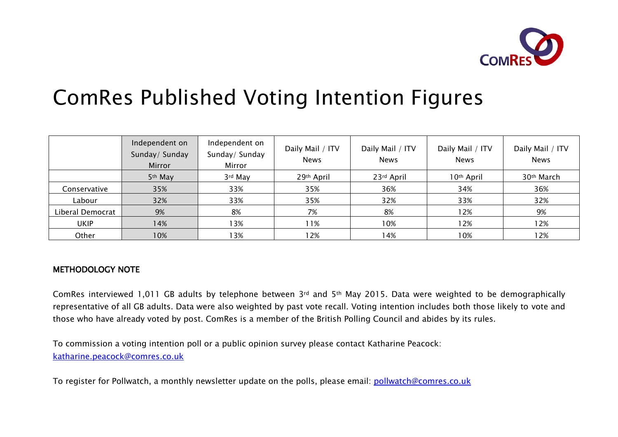

# ComRes Published Voting Intention Figures

|                  | Independent on<br>Sunday/ Sunday<br>Mirror | Independent on<br>Sunday/ Sunday<br>Mirror | Daily Mail / ITV<br><b>News</b> | Daily Mail / ITV<br><b>News</b> | Daily Mail / ITV<br><b>News</b> | Daily Mail / ITV<br><b>News</b> |
|------------------|--------------------------------------------|--------------------------------------------|---------------------------------|---------------------------------|---------------------------------|---------------------------------|
|                  | 5 <sup>th</sup> May                        | 3rd May                                    | 29th April                      | 23rd April                      | 10 <sup>th</sup> April          | 30 <sup>th</sup> March          |
| Conservative     | 35%                                        | 33%                                        | 35%                             | 36%                             | 34%                             | 36%                             |
| Labour           | 32%                                        | 33%                                        | 35%                             | 32%                             | 33%                             | 32%                             |
| Liberal Democrat | 9%                                         | 8%                                         | 7%                              | 8%                              | 12%                             | 9%                              |
| <b>UKIP</b>      | 14%                                        | l 3%                                       | 11%                             | 10%                             | 12%                             | 12%                             |
| Other            | 10%                                        | 13%                                        | l 2%                            | 14%                             | 10%                             | 12%                             |

### METHODOLOGY NOTE

ComRes interviewed 1,011 GB adults by telephone between 3rd and 5th May 2015. Data were weighted to be demographically representative of all GB adults. Data were also weighted by past vote recall. Voting intention includes both those likely to vote and those who have already voted by post. ComRes is a member of the British Polling Council and abides by its rules.

To commission a voting intention poll or a public opinion survey please contact Katharine Peacock: katharine.peacock@comres.co.uk

To register for Pollwatch, a monthly newsletter update on the polls, please email: pollwatch@comres.co.uk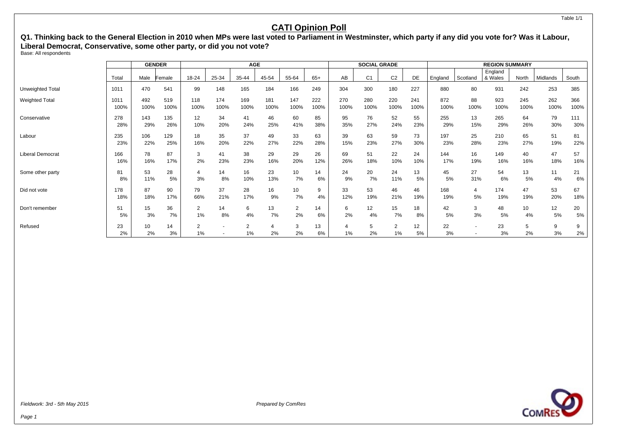**Q1. Thinking back to the General Election in 2010 when MPs were last voted to Parliament in Westminster, which party if any did you vote for? Was it Labour, Liberal Democrat, Conservative, some other party, or did you not vote?**

Base: All respondents

|                         |          |          | <b>GENDER</b> |                      |       | <b>AGE</b>           |       |         |          |      | <b>SOCIAL GRADE</b> |                      |          |          |          | <b>REGION SUMMARY</b> |       |          |         |
|-------------------------|----------|----------|---------------|----------------------|-------|----------------------|-------|---------|----------|------|---------------------|----------------------|----------|----------|----------|-----------------------|-------|----------|---------|
|                         | Total    | Male     | Female        | 18-24                | 25-34 | 35-44                | 45-54 | 55-64   | $65+$    | AB   | C <sub>1</sub>      | C <sub>2</sub>       | DE       | England  | Scotland | England<br>& Wales    | North | Midlands | South   |
| Unweighted Total        | 1011     | 470      | 541           | 99                   | 148   | 165                  | 184   | 166     | 249      | 304  | 300                 | 180                  | 227      | 880      | 80       | 931                   | 242   | 253      | 385     |
| <b>Weighted Total</b>   | 1011     | 492      | 519           | 118                  | 174   | 169                  | 181   | 147     | 222      | 270  | 280                 | 220                  | 241      | 872      | 88       | 923                   | 245   | 262      | 366     |
|                         | 100%     | 100%     | 100%          | 100%                 | 100%  | 100%                 | 100%  | 100%    | 100%     | 100% | 100%                | 100%                 | 100%     | 100%     | 100%     | 100%                  | 100%  | 100%     | 100%    |
| Conservative            | 278      | 143      | 135           | 12                   | 34    | 41                   | 46    | 60      | 85       | 95   | 76                  | 52                   | 55       | 255      | 13       | 265                   | 64    | 79       | 111     |
|                         | 28%      | 29%      | 26%           | 10%                  | 20%   | 24%                  | 25%   | 41%     | 38%      | 35%  | 27%                 | 24%                  | 23%      | 29%      | 15%      | 29%                   | 26%   | 30%      | 30%     |
| Labour                  | 235      | 106      | 129           | 18                   | 35    | 37                   | 49    | 33      | 63       | 39   | 63                  | 59                   | 73       | 197      | 25       | 210                   | 65    | 51       | 81      |
|                         | 23%      | 22%      | 25%           | 16%                  | 20%   | 22%                  | 27%   | 22%     | 28%      | 15%  | 23%                 | 27%                  | 30%      | 23%      | 28%      | 23%                   | 27%   | 19%      | 22%     |
| <b>Liberal Democrat</b> | 166      | 78       | 87            | 3                    | 41    | 38                   | 29    | 29      | 26       | 69   | 51                  | 22                   | 24       | 144      | 16       | 149                   | 40    | 47       | 57      |
|                         | 16%      | 16%      | 17%           | 2%                   | 23%   | 23%                  | 16%   | 20%     | 12%      | 26%  | 18%                 | 10%                  | 10%      | 17%      | 19%      | 16%                   | 16%   | 18%      | 16%     |
| Some other party        | 81       | 53       | 28            | 4                    | 14    | 16                   | 23    | 10      | 14       | 24   | 20                  | 24                   | 13       | 45       | 27       | 54                    | 13    | 11       | 21      |
|                         | 8%       | 11%      | 5%            | 3%                   | 8%    | 10%                  | 13%   | 7%      | 6%       | 9%   | 7%                  | 11%                  | 5%       | 5%       | 31%      | 6%                    | 5%    | 4%       | 6%      |
| Did not vote            | 178      | 87       | 90            | 79                   | 37    | 28                   | 16    | 10      | 9        | 33   | 53                  | 46                   | 46       | 168      | 4        | 174                   | 47    | 53       | 67      |
|                         | 18%      | 18%      | 17%           | 66%                  | 21%   | 17%                  | 9%    | 7%      | 4%       | 12%  | 19%                 | 21%                  | 19%      | 19%      | 5%       | 19%                   | 19%   | 20%      | 18%     |
| Don't remember          | 51       | 15       | 36            | $\overline{2}$       | 14    | 6                    | 13    | 2       | 14       | 6    | 12                  | 15                   | 18       | 42       | 3        | 48                    | 10    | 12       | 20      |
|                         | 5%       | 3%       | 7%            | 1%                   | 8%    | 4%                   | 7%    | 2%      | 6%       | 2%   | 4%                  | 7%                   | 8%       | 5%       | 3%       | 5%                    | 4%    | 5%       | 5%      |
| Refused                 | 23<br>2% | 10<br>2% | 14<br>3%      | $\overline{2}$<br>1% |       | $\overline{2}$<br>1% | 2%    | 3<br>2% | 13<br>6% | 1%   | 5<br>2%             | $\overline{2}$<br>1% | 12<br>5% | 22<br>3% |          | 23<br>3%              | 2%    | 9<br>3%  | 9<br>2% |



Fieldwork: 3rd - 5th May 2015 **Prepared by ComPes** Prepared by ComPes

Table 1/1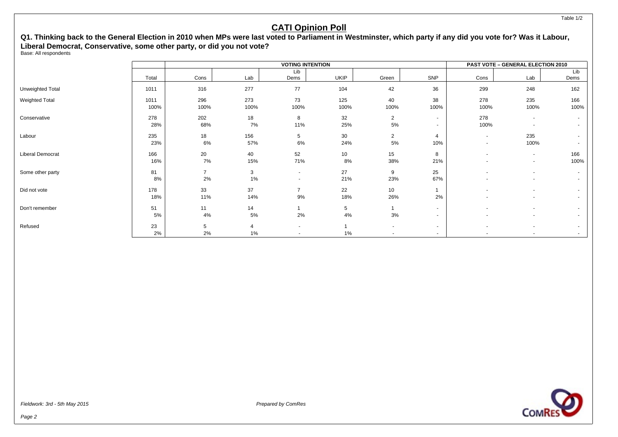### **Q1. Thinking back to the General Election in 2010 when MPs were last voted to Parliament in Westminster, which party if any did you vote for? Was it Labour, Liberal Democrat, Conservative, some other party, or did you not vote?**

Base: All respondents

|                       |       |                |                |                          | <b>VOTING INTENTION</b> |                          |                          |                          | PAST VOTE - GENERAL ELECTION 2010 |      |
|-----------------------|-------|----------------|----------------|--------------------------|-------------------------|--------------------------|--------------------------|--------------------------|-----------------------------------|------|
|                       |       |                |                | Lib                      |                         |                          |                          |                          |                                   | Lib  |
|                       | Total | Cons           | Lab            | Dems                     | UKIP                    | Green                    | SNP                      | Cons                     | Lab                               | Dems |
| Unweighted Total      | 1011  | 316            | 277            | 77                       | 104                     | 42                       | 36                       | 299                      | 248                               | 162  |
| <b>Weighted Total</b> | 1011  | 296            | 273            | 73                       | 125                     | 40                       | 38                       | 278                      | 235                               | 166  |
|                       | 100%  | 100%           | 100%           | 100%                     | 100%                    | 100%                     | 100%                     | 100%                     | 100%                              | 100% |
| Conservative          | 278   | 202            | 18             | 8                        | 32                      | $\overline{2}$           | $\sim$                   | 278                      | $\overline{\phantom{a}}$          |      |
|                       | 28%   | 68%            | 7%             | 11%                      | 25%                     | 5%                       | $\sim$                   | 100%                     | $\overline{\phantom{a}}$          |      |
| Labour                | 235   | 18             | 156            | 5                        | 30                      | 2                        | 4                        | $\sim$                   | 235                               |      |
|                       | 23%   | 6%             | 57%            | 6%                       | 24%                     | 5%                       | 10%                      | $\overline{\phantom{a}}$ | 100%                              |      |
| Liberal Democrat      | 166   | 20             | 40             | 52                       | 10                      | 15                       | 8                        | $\overline{\phantom{a}}$ | $\sim$                            | 166  |
|                       | 16%   | 7%             | 15%            | 71%                      | 8%                      | 38%                      | 21%                      | $\overline{\phantom{a}}$ | $\sim$                            | 100% |
| Some other party      | 81    | $\overline{7}$ | 3              | $\sim$                   | 27                      | 9                        | 25                       |                          | $\sim$                            |      |
|                       | 8%    | 2%             | 1%             | $\overline{\phantom{a}}$ | 21%                     | 23%                      | 67%                      |                          | $\blacksquare$                    |      |
| Did not vote          | 178   | 33             | 37             | $\overline{7}$           | 22                      | 10                       |                          |                          | $\overline{\phantom{a}}$          |      |
|                       | 18%   | 11%            | 14%            | 9%                       | 18%                     | 26%                      | 2%                       |                          | $\overline{\phantom{a}}$          |      |
| Don't remember        | 51    | 11             | 14             |                          | 5                       |                          | $\sim$                   |                          | $\overline{\phantom{a}}$          |      |
|                       | 5%    | 4%             | 5%             | 2%                       | 4%                      | 3%                       | $\overline{\phantom{0}}$ |                          | $\overline{\phantom{a}}$          |      |
| Refused               | 23    | 5              | $\overline{4}$ | $\sim$                   |                         | $\overline{\phantom{a}}$ | $\sim$                   | $\overline{\phantom{a}}$ | $\sim$                            |      |
|                       | 2%    | 2%             | 1%             | ٠                        | 1%                      | $\overline{\phantom{a}}$ | $\sim$                   |                          | $\overline{\phantom{a}}$          |      |

Fieldwork: 3rd - 5th May 2015 **Prepared by ComPes** Prepared by ComPes

**COMRE**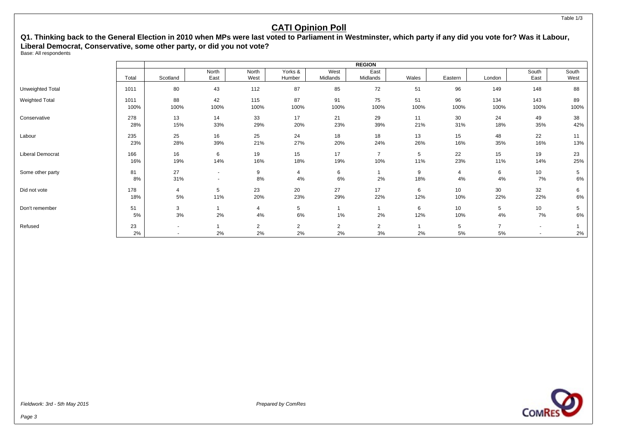### **Q1. Thinking back to the General Election in 2010 when MPs were last voted to Parliament in Westminster, which party if any did you vote for? Was it Labour, Liberal Democrat, Conservative, some other party, or did you not vote?**

Base: All respondents

|                       |       |          |        |                |                |                | <b>REGION</b>  |       |                 |                |                          |       |
|-----------------------|-------|----------|--------|----------------|----------------|----------------|----------------|-------|-----------------|----------------|--------------------------|-------|
|                       |       |          | North  | North          | Yorks &        | West           | East           |       |                 |                | South                    | South |
|                       | Total | Scotland | East   | West           | Humber         | Midlands       | Midlands       | Wales | Eastern         | London         | East                     | West  |
| Unweighted Total      | 1011  | 80       | 43     | 112            | 87             | 85             | 72             | 51    | 96              | 149            | 148                      | 88    |
| <b>Weighted Total</b> | 1011  | 88       | 42     | 115            | 87             | 91             | 75             | 51    | 96              | 134            | 143                      | 89    |
|                       | 100%  | 100%     | 100%   | 100%           | 100%           | 100%           | 100%           | 100%  | 100%            | 100%           | 100%                     | 100%  |
| Conservative          | 278   | 13       | 14     | 33             | 17             | 21             | 29             | 11    | 30              | 24             | 49                       | 38    |
|                       | 28%   | 15%      | 33%    | 29%            | 20%            | 23%            | 39%            | 21%   | 31%             | 18%            | 35%                      | 42%   |
| Labour                | 235   | 25       | 16     | 25             | 24             | 18             | 18             | 13    | 15              | 48             | 22                       | 11    |
|                       | 23%   | 28%      | 39%    | 21%            | 27%            | 20%            | 24%            | 26%   | 16%             | 35%            | 16%                      | 13%   |
| Liberal Democrat      | 166   | 16       | 6      | 19             | 15             | 17             | $\overline{7}$ | 5     | 22              | 15             | 19                       | 23    |
|                       | 16%   | 19%      | 14%    | 16%            | 18%            | 19%            | 10%            | 11%   | 23%             | 11%            | 14%                      | 25%   |
| Some other party      | 81    | 27       | $\sim$ | 9              | $\overline{4}$ | 6              | $\mathbf{1}$   | 9     | 4               | 6              | 10                       | 5     |
|                       | 8%    | 31%      | $\sim$ | 8%             | 4%             | 6%             | 2%             | 18%   | 4%              | 4%             | 7%                       | 6%    |
| Did not vote          | 178   | 4        | 5      | 23             | 20             | 27             | 17             | 6     | 10 <sup>°</sup> | 30             | 32                       | 6     |
|                       | 18%   | 5%       | 11%    | 20%            | 23%            | 29%            | 22%            | 12%   | 10%             | 22%            | 22%                      | 6%    |
| Don't remember        | 51    | 3        |        | 4              | 5              | $\mathbf{1}$   | 1              | 6     | 10 <sup>°</sup> | 5              | 10                       | 5     |
|                       | 5%    | $3%$     | 2%     | 4%             | 6%             | 1%             | 2%             | 12%   | 10%             | 4%             | 7%                       | 6%    |
| Refused               | 23    | $\sim$   |        | $\overline{2}$ | $\overline{2}$ | $\overline{2}$ | $\overline{2}$ |       | 5               | $\overline{7}$ | $\sim$                   |       |
|                       | 2%    |          | 2%     | 2%             | 2%             | 2%             | 3%             | 2%    | 5%              | 5%             | $\overline{\phantom{a}}$ | 2%    |

Fieldwork: 3rd - 5th May 2015 **Prepared by ComPes** Prepared by ComPes

Table 1/3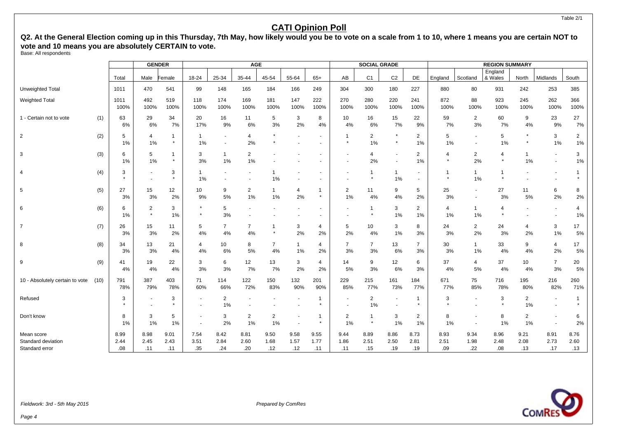Q2. At the General Election coming up in this Thursday, 7th May, how likely would you be to vote on a scale from 1 to 10, where 1 means you are certain NOT to **vote and 10 means you are absolutely CERTAIN to vote.**

Base: All respondents

|                                  |      |                | <b>GENDER</b>        |                         |                                            |                      | <b>AGE</b>              |                      |                |                           |                      | <b>SOCIAL GRADE</b>     |                      |                      |                                |                                    | <b>REGION SUMMARY</b> |                      |                          |                      |
|----------------------------------|------|----------------|----------------------|-------------------------|--------------------------------------------|----------------------|-------------------------|----------------------|----------------|---------------------------|----------------------|-------------------------|----------------------|----------------------|--------------------------------|------------------------------------|-----------------------|----------------------|--------------------------|----------------------|
|                                  |      | Total          | Male                 | Female                  | $18 - 24$                                  | 25-34                | 35-44                   | 45-54                | 55-64          | $65+$                     | AB                   | C <sub>1</sub>          | C <sub>2</sub>       | DE                   | England                        | Scotland                           | England<br>& Wales    | North                | Midlands                 | South                |
| <b>Unweighted Total</b>          |      | 1011           | 470                  | 541                     | 99                                         | 148                  | 165                     | 184                  | 166            | 249                       | 304                  | 300                     | 180                  | 227                  | 880                            | 80                                 | 931                   | 242                  | 253                      | 385                  |
| <b>Weighted Total</b>            |      | 1011<br>100%   | 492<br>100%          | 519<br>100%             | 118<br>100%                                | 174<br>100%          | 169<br>100%             | 181<br>100%          | 147<br>100%    | 222<br>100%               | 270<br>100%          | 280<br>100%             | 220<br>100%          | 241<br>100%          | 872<br>100%                    | 88<br>100%                         | 923<br>100%           | 245<br>100%          | 262<br>100%              | 366<br>100%          |
| 1 - Certain not to vote          | (1)  | 63<br>6%       | 29<br>6%             | 34<br>7%                | 20<br>17%                                  | 16<br>9%             | 11<br>6%                | 5<br>3%              | 3<br>2%        | 8<br>4%                   | 10<br>4%             | 16<br>6%                | 15<br>7%             | 22<br>9%             | 59<br>7%                       | $\overline{2}$<br>3%               | 60<br>7%              | 9<br>4%              | 23<br>9%                 | 27<br>7%             |
| $\overline{2}$                   | (2)  | 5<br>1%        | $\overline{4}$<br>1% | -1<br>$\star$           | 1<br>1%                                    |                      | 4<br>2%                 |                      |                |                           | 1<br>$\star$         | $\overline{2}$<br>1%    | $\star$<br>$\star$   | $\overline{2}$<br>1% | 5<br>1%                        | $\sim$<br>$\overline{\phantom{a}}$ | 5<br>1%               |                      | 3<br>1%                  | $\overline{2}$<br>1% |
| 3                                | (3)  | 6<br>1%        | 5<br>1%              | $\mathbf{1}$<br>$\star$ | 3<br>3%                                    | $\mathbf{1}$<br>1%   | 2<br>1%                 |                      |                |                           |                      | 4<br>2%                 |                      | $\overline{2}$<br>1% | $\overline{4}$<br>$\pmb{\ast}$ | $\overline{2}$<br>2%               | 4                     | $\mathbf 1$<br>1%    | $\blacksquare$           | 3<br>1%              |
| 4                                | (4)  | 3<br>$\bullet$ |                      | 3<br>$\star$            | $\mathbf{1}$<br>1%                         |                      |                         | 1%                   |                |                           |                      | 1<br>$\star$            | $\overline{1}$<br>1% |                      | $\star$                        | $\mathbf{1}$<br>1%                 | -1                    |                      | $\overline{\phantom{a}}$ | -1                   |
| 5                                | (5)  | 27<br>3%       | 15<br>3%             | 12<br>2%                | 10<br>9%                                   | 9<br>5%              | $\overline{2}$<br>$1\%$ | $\mathbf 1$<br>1%    | 4<br>2%        | $\overline{1}$<br>$\star$ | $\overline{2}$<br>1% | 11<br>4%                | 9<br>4%              | 5<br>2%              | 25<br>3%                       | $\blacksquare$                     | 27<br>3%              | 11<br>5%             | 6<br>2%                  | 8<br>2%              |
| 6                                | (6)  | 6<br>1%        | 2<br>$\star$         | 3<br>1%                 | $\star$                                    | 5<br>3%              |                         |                      |                |                           |                      | $\mathbf{1}$<br>$\star$ | 3<br>1%              | 2<br>1%              | 4<br>1%                        | $\mathbf{1}$<br>1%                 | 4                     |                      | $\blacksquare$           | 4<br>1%              |
| $\overline{7}$                   | (7)  | 26<br>3%       | 15<br>3%             | 11<br>2%                | 5<br>4%                                    | $\overline{7}$<br>4% | $\overline{7}$<br>4%    | -1<br>$\star$        | 3<br>2%        | 4<br>2%                   | 5<br>2%              | 10<br>4%                | 3<br>1%              | 8<br>3%              | 24<br>3%                       | $\overline{2}$<br>2%               | 24<br>3%              | 4<br>2%              | 3<br>$1\%$               | 17<br>5%             |
| 8                                | (8)  | 34<br>3%       | 13<br>3%             | 21<br>4%                | 4<br>4%                                    | 10<br>6%             | 8<br>5%                 | $\overline{7}$<br>4% | 1<br>$1\%$     | $\overline{4}$<br>2%      | $\overline{7}$<br>3% | $\overline{7}$<br>3%    | 13<br>6%             | $\overline{7}$<br>3% | 30<br>3%                       | $\mathbf{1}$<br>1%                 | 33<br>4%              | 9<br>4%              | $\overline{4}$<br>2%     | 17<br>5%             |
| 9                                | (9)  | 41<br>4%       | 19<br>4%             | 22<br>4%                | 3<br>3%                                    | 6<br>3%              | 12<br>7%                | 13<br>7%             | 3<br>2%        | $\overline{4}$<br>2%      | 14<br>5%             | 9<br>3%                 | 12<br>6%             | 6<br>3%              | 37<br>4%                       | 4<br>5%                            | 37<br>4%              | 10<br>4%             | $\overline{7}$<br>3%     | 20<br>5%             |
| 10 - Absolutely certain to vote  | (10) | 791<br>78%     | 387<br>79%           | 403<br>78%              | 71<br>60%                                  | 114<br>66%           | 122<br>72%              | 150<br>83%           | 132<br>90%     | 201<br>90%                | 229<br>85%           | 215<br>77%              | 161<br>73%           | 184<br>77%           | 671<br>77%                     | 75<br>85%                          | 716<br>78%            | 195<br>80%           | 216<br>82%               | 260<br>71%           |
| Refused                          |      | 3              |                      | 3<br>$\star$            | $\blacksquare$                             | 2<br>1%              |                         |                      |                |                           |                      | $\overline{2}$<br>1%    |                      | 1                    | 3<br>$\star$                   |                                    | 3                     | $\overline{2}$<br>1% | $\overline{\phantom{a}}$ |                      |
| Don't know                       |      | 8<br>1%        | 3<br>1%              | 5<br>1%                 | $\blacksquare$<br>$\overline{\phantom{a}}$ | 3<br>2%              | $\overline{2}$<br>1%    | $\overline{2}$<br>1% | $\blacksquare$ | -1<br>$\star$             | $\overline{2}$<br>1% | $\mathbf{1}$<br>$\star$ | 3<br>1%              | $\overline{2}$<br>1% | 8<br>1%                        | $\sim$                             | 8<br>1%               | 2<br>1%              | $\blacksquare$           | 6<br>2%              |
| Mean score<br>Standard deviation |      | 8.99<br>2.44   | 8.98<br>2.45         | 9.01<br>2.43            | 7.54<br>3.51                               | 8.42<br>2.84         | 8.81<br>2.60            | 9.50<br>1.68         | 9.58<br>1.57   | 9.55<br>1.77              | 9.44<br>1.86         | 8.89<br>2.51            | 8.86<br>2.50         | 8.73<br>2.81         | 8.93<br>2.51                   | 9.34<br>1.98                       | 8.96<br>2.48          | 9.21<br>2.08         | 8.91<br>2.73             | 8.76<br>2.60         |
| Standard error                   |      | .08            | .11                  | .11                     | .35                                        | .24                  | .20                     | .12                  | .12            | .11                       | .11                  | .15                     | .19                  | .19                  | .09                            | .22                                | .08                   | .13                  | .17                      | .13                  |



Page 4

Table 2/1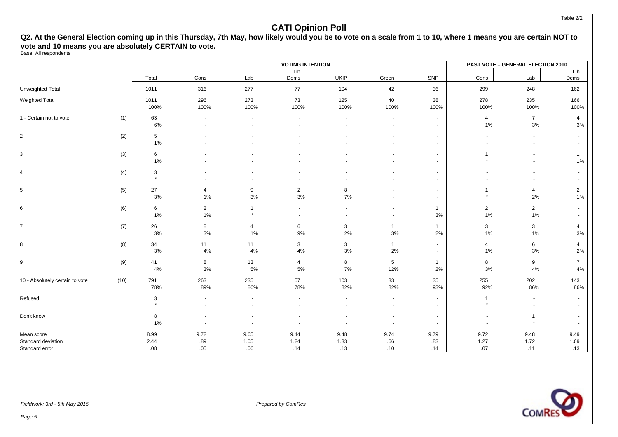Q2. At the General Election coming up in this Thursday, 7th May, how likely would you be to vote on a scale from 1 to 10, where 1 means you are certain NOT to **vote and 10 means you are absolutely CERTAIN to vote.**

Base: All respondents

|                                  |      |                  |                                    |                      | <b>VOTING INTENTION</b> |              |                         |                                        |                          | <b>PAST VOTE - GENERAL ELECTION 2010</b> |                                                      |
|----------------------------------|------|------------------|------------------------------------|----------------------|-------------------------|--------------|-------------------------|----------------------------------------|--------------------------|------------------------------------------|------------------------------------------------------|
|                                  |      | Total            | Cons                               | Lab                  | Lib<br>Dems             | <b>UKIP</b>  | Green                   | SNP                                    | Cons                     | Lab                                      | Lib<br>Dems                                          |
| Unweighted Total                 |      | 1011             | 316                                | 277                  | 77                      | 104          | 42                      | 36                                     | 299                      | 248                                      | 162                                                  |
| Weighted Total                   |      | 1011<br>100%     | 296<br>100%                        | 273<br>100%          | 73<br>100%              | 125<br>100%  | 40<br>100%              | 38<br>100%                             | 278<br>100%              | 235<br>100%                              | 166<br>100%                                          |
| 1 - Certain not to vote          | (1)  | 63<br>6%         | $\overline{\phantom{a}}$<br>$\sim$ |                      | $\ddot{\phantom{1}}$    |              | $\blacksquare$          | $\sim$<br>÷.                           | $\overline{4}$<br>$1\%$  | $\overline{7}$<br>$3\%$                  | $\overline{4}$<br>3%                                 |
| $\overline{2}$                   | (2)  | $\sqrt{5}$<br>1% |                                    |                      |                         |              |                         | $\overline{\phantom{a}}$<br>$\sim$     | $\blacksquare$           | $\overline{\phantom{a}}$                 | $\overline{\phantom{a}}$<br>$\overline{\phantom{a}}$ |
| 3                                | (3)  | 6<br>1%          |                                    |                      |                         |              |                         | $\blacksquare$                         | $\star$                  |                                          | $\mathbf{1}$<br>1%                                   |
| 4                                | (4)  | 3<br>$\star$     |                                    |                      |                         |              |                         | $\blacksquare$                         |                          |                                          | $\sim$                                               |
| 5                                | (5)  | 27<br>3%         | 4<br>1%                            | 9<br>3%              | $\overline{2}$<br>3%    | 8<br>$7\%$   |                         | $\blacksquare$<br>$\sim$               | $\star$                  | $\overline{4}$<br>2%                     | $\overline{2}$<br>1%                                 |
| 6                                | (6)  | 6<br>1%          | $\overline{c}$<br>1%               |                      | $\blacksquare$          |              |                         | $\mathbf{1}$<br>3%                     | $\mathbf{2}$<br>$1\%$    | $\overline{2}$<br>1%                     | $\sim$                                               |
| $\overline{7}$                   | (7)  | 26<br>3%         | 8<br>$3%$                          | $\overline{4}$<br>1% | 6<br>$9\%$              | 3<br>2%      | $\overline{1}$<br>$3\%$ | $\mathbf{1}$<br>$2\%$                  | 3<br>$1\%$               | 3<br>$1\%$                               | 4<br>$3\%$                                           |
| 8                                | (8)  | 34<br>3%         | 11<br>4%                           | 11<br>4%             | $\mathbf{3}$<br>4%      | 3<br>$3%$    | $\mathbf{1}$<br>2%      | $\sim$<br>$\sim$                       | $\overline{4}$<br>1%     | 6<br>$3%$                                | 4<br>2%                                              |
| 9                                | (9)  | 41<br>4%         | 8<br>$3%$                          | 13<br>5%             | $\overline{4}$<br>$5\%$ | 8<br>7%      | $5\phantom{.0}$<br>12%  | $\mathbf{1}$<br>2%                     | 8<br>$3\%$               | 9<br>$4\%$                               | $\overline{7}$<br>4%                                 |
| 10 - Absolutely certain to vote  | (10) | 791<br>78%       | 263<br>89%                         | 235<br>86%           | 57<br>78%               | 103<br>82%   | 33<br>82%               | 35<br>93%                              | 255<br>92%               | 202<br>86%                               | 143<br>86%                                           |
| Refused                          |      | 3<br>$\star$     | $\sim$                             |                      | $\ddot{\phantom{1}}$    |              | $\sim$                  | $\sim$<br>$\sim$                       | $\mathbf{1}$<br>$\star$  |                                          | $\sim$<br>$\sim$                                     |
| Don't know                       |      | 8<br>1%          |                                    |                      |                         |              | ٠                       | $\blacksquare$<br>$\ddot{\phantom{1}}$ | $\overline{\phantom{a}}$ | 1<br>$\star$                             |                                                      |
| Mean score<br>Standard deviation |      | 8.99<br>2.44     | 9.72<br>.89                        | 9.65<br>1.05         | 9.44<br>1.24            | 9.48<br>1.33 | 9.74<br>.66             | 9.79<br>.83                            | 9.72<br>1.27             | 9.48<br>1.72                             | 9.49<br>1.69                                         |
| Standard error                   |      | .08              | .05                                | .06                  | .14                     | .13          | .10                     | .14                                    | .07                      | .11                                      | .13                                                  |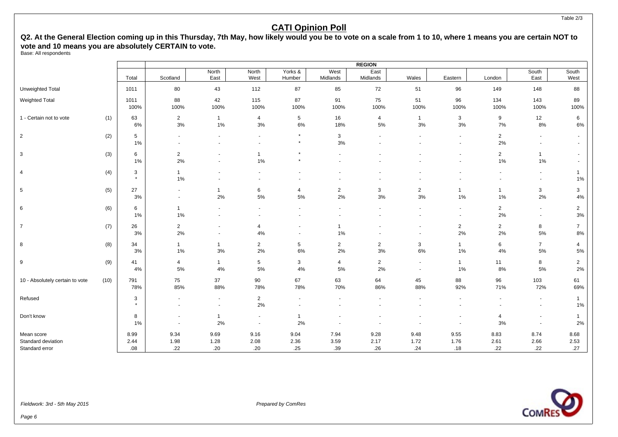Q2. At the General Election coming up in this Thursday, 7th May, how likely would you be to vote on a scale from 1 to 10, where 1 means you are certain NOT to **vote and 10 means you are absolutely CERTAIN to vote.**

Base: All respondents

|                                  |      |              |                                            |                                            |                                  |                                            |                                            | <b>REGION</b>           |                                                      |                                  |                         |                                                  |                                  |
|----------------------------------|------|--------------|--------------------------------------------|--------------------------------------------|----------------------------------|--------------------------------------------|--------------------------------------------|-------------------------|------------------------------------------------------|----------------------------------|-------------------------|--------------------------------------------------|----------------------------------|
|                                  |      | Total        | Scotland                                   | North<br>East                              | North<br>West                    | Yorks &<br>Humber                          | West<br>Midlands                           | East<br>Midlands        | Wales                                                | Eastern                          | London                  | South<br>East                                    | South<br>West                    |
| Unweighted Total                 |      | 1011         | 80                                         | 43                                         | 112                              | 87                                         | 85                                         | 72                      | 51                                                   | 96                               | 149                     | 148                                              | 88                               |
| <b>Weighted Total</b>            |      | 1011<br>100% | 88<br>100%                                 | 42<br>100%                                 | 115<br>100%                      | 87<br>100%                                 | 91<br>100%                                 | 75<br>100%              | 51<br>100%                                           | 96<br>100%                       | 134<br>100%             | 143<br>100%                                      | 89<br>100%                       |
| 1 - Certain not to vote          | (1)  | 63<br>6%     | $\overline{2}$<br>3%                       | $\mathbf{1}$<br>1%                         | $\overline{4}$<br>$3%$           | $5\phantom{.0}$<br>6%                      | 16<br>18%                                  | $\overline{4}$<br>$5\%$ | $\overline{1}$<br>$3%$                               | 3<br>$3%$                        | 9<br>7%                 | 12<br>8%                                         | 6<br>6%                          |
| $\overline{2}$                   | (2)  | 5<br>$1\%$   |                                            | $\sim$                                     | $\blacksquare$<br>$\blacksquare$ | $\star$<br>$\star$                         | 3<br>3%                                    |                         |                                                      | $\blacksquare$<br>$\blacksquare$ | $\overline{2}$<br>2%    | $\blacksquare$                                   | $\blacksquare$<br>$\blacksquare$ |
| 3                                | (3)  | 6<br>1%      | $\overline{2}$<br>2%                       |                                            | $\overline{1}$<br>1%             | $\star$                                    |                                            |                         |                                                      |                                  | $\overline{2}$<br>$1\%$ | $\overline{1}$<br>$1\%$                          | $\sim$                           |
| $\overline{4}$                   | (4)  | 3<br>$\star$ | $\mathbf{1}$<br>$1\%$                      | $\sim$                                     |                                  |                                            |                                            |                         |                                                      |                                  | $\blacksquare$          | $\blacksquare$                                   | $\mathbf{1}$<br>1%               |
| $\sqrt{5}$                       | (5)  | 27<br>3%     | $\blacksquare$<br>$\ddot{\phantom{1}}$     | $\mathbf{1}$<br>2%                         | 6<br>5%                          | $\overline{4}$<br>5%                       | $\overline{2}$<br>2%                       | 3<br>$3%$               | $\overline{\mathbf{c}}$<br>3%                        | $1\%$                            | $\mathbf{1}$<br>$1\%$   | 3<br>2%                                          | 3<br>4%                          |
| 6                                | (6)  | 6<br>$1\%$   | $\mathbf{1}$<br>1%                         | $\blacksquare$                             | $\blacksquare$                   | $\sim$<br>$\blacksquare$                   | $\blacksquare$                             |                         | $\blacksquare$                                       | $\blacksquare$<br>$\blacksquare$ | $\overline{2}$<br>2%    | $\sim$<br>$\blacksquare$                         | $\overline{2}$<br>3%             |
| $\overline{7}$                   | (7)  | 26<br>3%     | $\overline{2}$<br>2%                       | $\overline{\phantom{a}}$<br>$\blacksquare$ | 4<br>4%                          | $\overline{\phantom{a}}$<br>$\blacksquare$ | $\overline{1}$<br>1%                       |                         | $\overline{\phantom{a}}$<br>$\blacksquare$           | $\overline{2}$<br>2%             | $\overline{2}$<br>2%    | 8<br>$5\%$                                       | $\overline{7}$<br>8%             |
| 8                                | (8)  | 34<br>3%     | $\mathbf{1}$<br>1%                         | $\overline{1}$<br>3%                       | $\overline{2}$<br>2%             | $5\phantom{.0}$<br>6%                      | $\overline{2}$<br>2%                       | $\overline{2}$<br>$3%$  | 3<br>$6\%$                                           | $\overline{1}$<br>1%             | 6<br>4%                 | $\overline{7}$<br>$5\%$                          | 4<br>5%                          |
| 9                                | (9)  | 41<br>4%     | $\overline{4}$<br>5%                       | $\mathbf{1}$<br>4%                         | $\sqrt{5}$<br>5%                 | $\mathbf{3}$<br>4%                         | $\overline{4}$<br>$5\%$                    | $\overline{2}$<br>2%    | $\overline{\phantom{a}}$<br>$\overline{\phantom{a}}$ | $\mathbf{1}$<br>$1\%$            | 11<br>8%                | 8<br>5%                                          | $\overline{2}$<br>2%             |
| 10 - Absolutely certain to vote  | (10) | 791<br>78%   | 75<br>85%                                  | 37<br>88%                                  | 90<br>78%                        | 67<br>78%                                  | 63<br>70%                                  | 64<br>86%               | 45<br>88%                                            | 88<br>92%                        | 96<br>71%               | 103<br>72%                                       | 61<br>69%                        |
| Refused                          |      | 3<br>$\star$ | $\blacksquare$<br>$\overline{\phantom{a}}$ | $\overline{\phantom{a}}$<br>$\blacksquare$ | $\overline{2}$<br>2%             | $\blacksquare$<br>$\blacksquare$           | $\blacksquare$<br>$\overline{\phantom{0}}$ | $\blacksquare$          | $\overline{\phantom{a}}$<br>$\overline{\phantom{a}}$ | $\blacksquare$                   | $\blacksquare$          | $\sim$<br>$\blacksquare$                         | $\mathbf{1}$<br>1%               |
| Don't know                       |      | 8<br>1%      | $\blacksquare$<br>÷,                       | $\overline{1}$<br>2%                       | $\blacksquare$<br>$\sim$         | $\overline{1}$<br>2%                       |                                            |                         |                                                      |                                  | $\overline{4}$<br>3%    | $\overline{\phantom{a}}$<br>$\ddot{\phantom{1}}$ | $\mathbf{1}$<br>2%               |
| Mean score<br>Standard deviation |      | 8.99<br>2.44 | 9.34<br>1.98                               | 9.69<br>1.28                               | 9.16<br>2.08                     | 9.04<br>2.36                               | 7.94<br>3.59                               | 9.28<br>2.17            | 9.48<br>1.72                                         | 9.55<br>1.76                     | 8.83<br>2.61            | 8.74<br>2.66                                     | 8.68<br>2.53                     |
| Standard error                   |      | .08          | .22                                        | .20                                        | .20                              | .25                                        | .39                                        | .26                     | .24                                                  | .18                              | .22                     | .22                                              | .27                              |

Fieldwork: 3rd - 5th May 2015 **Prepared by ComPes** Prepared by ComPes

Page 6

Table 2/3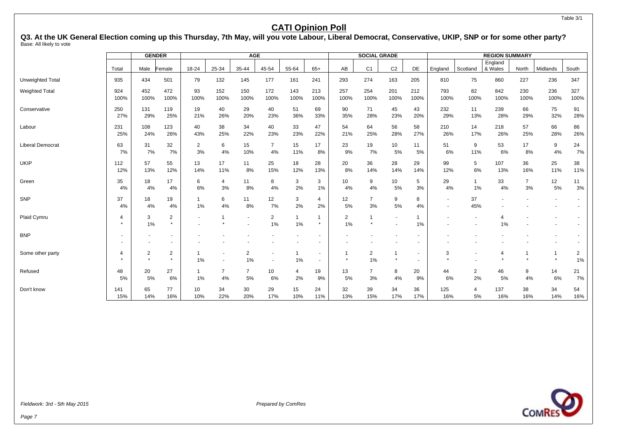Table 3/1

### **CATI Opinion Poll**

**Q3. At the UK General Election coming up this Thursday, 7th May, will you vote Labour, Liberal Democrat, Conservative, UKIP, SNP or for some other party?** Base: All likely to vote

|                         |             |             | <b>GENDER</b>             |            |             | <b>AGE</b>               |                         |                      |                                                      |             | <b>SOCIAL GRADE</b>     |                |             |                                            |                      | <b>REGION SUMMARY</b> |                      |                          |                      |
|-------------------------|-------------|-------------|---------------------------|------------|-------------|--------------------------|-------------------------|----------------------|------------------------------------------------------|-------------|-------------------------|----------------|-------------|--------------------------------------------|----------------------|-----------------------|----------------------|--------------------------|----------------------|
|                         | Total       | Male        | Female                    | 18-24      | 25-34       | 35-44                    | 45-54                   | 55-64                | $65+$                                                | AB          | C <sub>1</sub>          | C <sub>2</sub> | <b>DE</b>   | England                                    | Scotland             | England<br>& Wales    | North                | Midlands                 | South                |
| <b>Unweighted Total</b> | 935         | 434         | 501                       | 79         | 132         | 145                      | 177                     | 161                  | 241                                                  | 293         | 274                     | 163            | 205         | 810                                        | 75                   | 860                   | 227                  | 236                      | 347                  |
| Weighted Total          | 924<br>100% | 452<br>100% | 472<br>100%               | 93<br>100% | 152<br>100% | 150<br>100%              | 172<br>100%             | 143<br>100%          | 213<br>100%                                          | 257<br>100% | 254<br>100%             | 201<br>100%    | 212<br>100% | 793<br>100%                                | 82<br>100%           | 842<br>100%           | 230<br>100%          | 236<br>100%              | 327<br>100%          |
| Conservative            | 250<br>27%  | 131<br>29%  | 119<br>25%                | 19<br>21%  | 40<br>26%   | 29<br>20%                | 40<br>23%               | 51<br>36%            | 69<br>33%                                            | 90<br>35%   | 71<br>28%               | 45<br>23%      | 43<br>20%   | 232<br>29%                                 | 11<br>13%            | 239<br>28%            | 66<br>29%            | 75<br>32%                | 91<br>28%            |
| Labour                  | 231<br>25%  | 108<br>24%  | 123<br>26%                | 40<br>43%  | 38<br>25%   | 34<br>22%                | 40<br>23%               | 33<br>23%            | 47<br>22%                                            | 54<br>21%   | 64<br>25%               | 56<br>28%      | 58<br>27%   | 210<br>26%                                 | 14<br>17%            | 218<br>26%            | 57<br>25%            | 66<br>28%                | 86<br>26%            |
| <b>Liberal Democrat</b> | 63<br>7%    | 31<br>7%    | 32<br>7%                  | 2<br>3%    | 6<br>4%     | 15<br>10%                | $\overline{7}$<br>4%    | 15<br>11%            | 17<br>8%                                             | 23<br>9%    | 19<br>7%                | 10<br>5%       | 11<br>5%    | 51<br>6%                                   | 9<br>11%             | 53<br>6%              | 17<br>8%             | 9<br>4%                  | 24<br>7%             |
| <b>UKIP</b>             | 112<br>12%  | 57<br>13%   | 55<br>12%                 | 13<br>14%  | 17<br>11%   | 11<br>8%                 | 25<br>15%               | 18<br>12%            | 28<br>13%                                            | 20<br>8%    | 36<br>14%               | 28<br>14%      | 29<br>14%   | 99<br>12%                                  | 5<br>6%              | 107<br>13%            | 36<br>16%            | 25<br>11%                | 38<br>11%            |
| Green                   | 35<br>4%    | 18<br>4%    | 17<br>4%                  | 6<br>6%    | 4<br>3%     | 11<br>8%                 | 8<br>4%                 | 3<br>2%              | 3<br>1%                                              | 10<br>4%    | 9<br>4%                 | 10<br>5%       | 5<br>3%     | 29<br>4%                                   | $\mathbf{1}$<br>1%   | 33<br>4%              | $\overline{7}$<br>3% | 12<br>5%                 | 11<br>3%             |
| SNP                     | 37<br>4%    | 18<br>4%    | 19<br>4%                  | 1<br>1%    | 6<br>4%     | 11<br>8%                 | 12<br>7%                | 3<br>2%              | 4<br>2%                                              | 12<br>5%    | $\overline{7}$<br>3%    | 9<br>5%        | 8<br>4%     | $\overline{\phantom{a}}$<br>$\blacksquare$ | 37<br>45%            |                       |                      | $\overline{\phantom{a}}$ |                      |
| Plaid Cymru             | 4           | 3<br>1%     | $\overline{2}$<br>$\star$ |            |             | $\overline{\phantom{a}}$ | $\overline{2}$<br>$1\%$ | $\overline{1}$<br>1% | $\star$                                              | 2<br>1%     | $\mathbf{1}$<br>$\star$ | ۰              | 1%          |                                            |                      | 1%                    |                      |                          |                      |
| <b>BNP</b>              |             |             |                           |            |             |                          |                         |                      |                                                      |             |                         |                |             |                                            |                      |                       |                      |                          |                      |
| Some other party        | 4           | 2           | $\overline{2}$<br>$\star$ | 1%         |             | 2<br>1%                  |                         | 1%                   | $\overline{\phantom{a}}$<br>$\overline{\phantom{a}}$ |             | $\overline{2}$<br>1%    | $\star$        |             | 3                                          |                      | $\overline{4}$        |                      | $\star$                  | $\overline{2}$<br>1% |
| Refused                 | 48<br>5%    | 20<br>5%    | 27<br>6%                  | 1%         | 7<br>4%     | $\overline{7}$<br>5%     | 10<br>6%                | 4<br>2%              | 19<br>9%                                             | 13<br>5%    | $\overline{7}$<br>3%    | 8<br>4%        | 20<br>9%    | 44<br>6%                                   | $\overline{2}$<br>2% | 46<br>5%              | 9<br>4%              | 14<br>6%                 | 21<br>7%             |
| Don't know              | 141<br>15%  | 65<br>14%   | 77<br>16%                 | 10<br>10%  | 34<br>22%   | 30<br>20%                | 29<br>17%               | 15<br>10%            | 24<br>11%                                            | 32<br>13%   | 39<br>15%               | 34<br>17%      | 36<br>17%   | 125<br>16%                                 | 4<br>5%              | 137<br>16%            | 38<br>16%            | 34<br>14%                | 54<br>16%            |

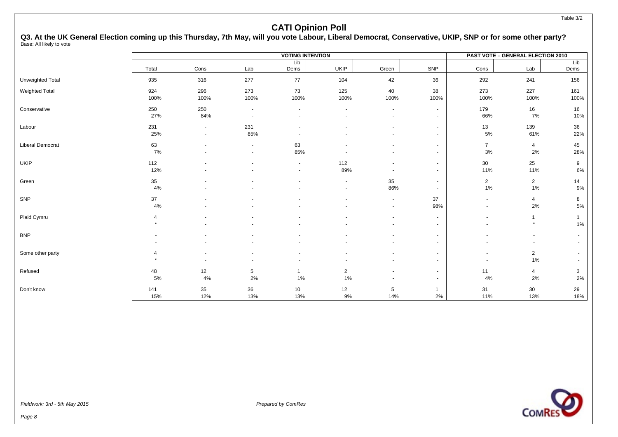#### Table 3/2

### **CATI Opinion Poll**

**Q3. At the UK General Election coming up this Thursday, 7th May, will you vote Labour, Liberal Democrat, Conservative, UKIP, SNP or for some other party?** Base: All likely to vote

|                         |                           |                                    |                                            | <b>VOTING INTENTION</b> |                          |                  |                          |                                                      | PAST VOTE - GENERAL ELECTION 2010 |                       |
|-------------------------|---------------------------|------------------------------------|--------------------------------------------|-------------------------|--------------------------|------------------|--------------------------|------------------------------------------------------|-----------------------------------|-----------------------|
|                         | Total                     | Cons                               | Lab                                        | Lib<br>Dems             | <b>UKIP</b>              | Green            | SNP                      | Cons                                                 | Lab                               | Lib<br>Dems           |
| Unweighted Total        | 935                       | 316                                | 277                                        | 77                      | 104                      | 42               | 36                       | 292                                                  | 241                               | 156                   |
| Weighted Total          | 924<br>100%               | 296<br>100%                        | 273<br>100%                                | 73<br>100%              | 125<br>100%              | 40<br>100%       | 38<br>100%               | 273<br>100%                                          | 227<br>100%                       | 161<br>100%           |
| Conservative            | 250<br>27%                | 250<br>84%                         | $\overline{\phantom{a}}$<br>$\blacksquare$ |                         | $\overline{\phantom{a}}$ | $\sim$           | $\sim$<br>$\sim$         | 179<br>66%                                           | 16<br>7%                          | 16<br>10%             |
| Labour                  | 231<br>25%                | $\sim$<br>$\overline{\phantom{a}}$ | 231<br>85%                                 |                         |                          |                  | $\sim$<br>$\sim$         | 13<br>5%                                             | 139<br>61%                        | 36<br>22%             |
| <b>Liberal Democrat</b> | 63<br>7%                  |                                    | $\blacksquare$<br>$\blacksquare$           | 63<br>85%               |                          |                  | $\sim$<br>$\sim$         | $\overline{7}$<br>3%                                 | $\overline{4}$<br>2%              | 45<br>28%             |
| <b>UKIP</b>             | 112<br>12%                |                                    |                                            | $\sim$<br>$\sim$        | 112<br>89%               |                  | $\blacksquare$<br>$\sim$ | 30<br>11%                                            | 25<br>11%                         | 9<br>6%               |
| Green                   | 35<br>4%                  |                                    |                                            |                         | $\overline{\phantom{a}}$ | 35<br>86%        | $\sim$<br>$\sim$         | $\overline{2}$<br>1%                                 | $\overline{2}$<br>1%              | 14<br>9%              |
| SNP                     | 37<br>4%                  |                                    |                                            |                         |                          | $\sim$<br>$\sim$ | 37<br>98%                | $\sim$<br>$\sim$                                     | 4<br>2%                           | 8<br>$5\%$            |
| Plaid Cymru             | $\overline{4}$<br>$\star$ |                                    |                                            |                         |                          |                  | $\sim$<br>$\sim$         | $\overline{\phantom{a}}$<br>$\blacksquare$           | $\star$                           | $\mathbf{1}$<br>$1\%$ |
| <b>BNP</b>              | $\sim$<br>$\sim$          |                                    |                                            |                         |                          |                  | $\sim$<br>$\blacksquare$ |                                                      | $\overline{\phantom{a}}$          | $\sim$<br>$\sim$      |
| Some other party        | $\overline{4}$<br>$\star$ |                                    |                                            |                         |                          |                  | $\sim$<br>$\blacksquare$ | $\overline{\phantom{a}}$<br>$\overline{\phantom{a}}$ | $\overline{2}$<br>$1\%$           | $\sim$<br>$\sim$      |
| Refused                 | 48<br>5%                  | 12<br>4%                           | 5<br>2%                                    | $\mathbf{1}$<br>1%      | $\overline{2}$<br>1%     |                  | $\sim$<br>$\sim$         | 11<br>4%                                             | 4<br>2%                           | 3<br>2%               |
| Don't know              | 141<br>15%                | 35<br>12%                          | 36<br>13%                                  | 10<br>13%               | 12<br>$9\%$              | 5<br>14%         | $\mathbf{1}$<br>2%       | 31<br>11%                                            | 30<br>13%                         | 29<br>18%             |

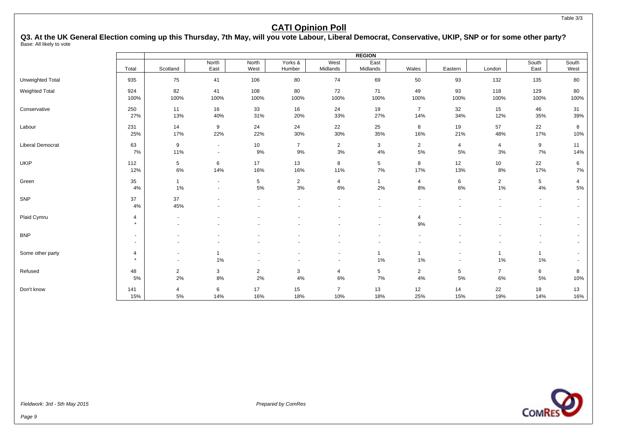Table 3/3

### **CATI Opinion Poll**

**Q3. At the UK General Election coming up this Thursday, 7th May, will you vote Labour, Liberal Democrat, Conservative, UKIP, SNP or for some other party?** Base: All likely to vote

|                       |                                                      |                                  |                      |                          |                   |                                    | <b>REGION</b>                              |                          |                |                    |                                            |                  |
|-----------------------|------------------------------------------------------|----------------------------------|----------------------|--------------------------|-------------------|------------------------------------|--------------------------------------------|--------------------------|----------------|--------------------|--------------------------------------------|------------------|
|                       | Total                                                | Scotland                         | North<br>East        | North<br>West            | Yorks &<br>Humber | West<br>Midlands                   | East<br>Midlands                           | Wales                    | Eastern        | London             | South<br>East                              | South<br>West    |
| Unweighted Total      | 935                                                  | 75                               | 41                   | 106                      | 80                | 74                                 | 69                                         | 50                       | 93             | 132                | 135                                        | 80               |
| <b>Weighted Total</b> | 924                                                  | 82                               | 41                   | 108                      | 80                | 72                                 | 71                                         | 49                       | 93             | 118                | 129                                        | 80               |
|                       | 100%                                                 | 100%                             | 100%                 | 100%                     | 100%              | 100%                               | 100%                                       | 100%                     | 100%           | 100%               | 100%                                       | 100%             |
| Conservative          | 250                                                  | 11                               | 16                   | 33                       | 16                | 24                                 | 19                                         | $\overline{7}$           | 32             | 15                 | 46                                         | 31               |
|                       | 27%                                                  | 13%                              | 40%                  | 31%                      | 20%               | 33%                                | 27%                                        | 14%                      | 34%            | 12%                | 35%                                        | 39%              |
| Labour                | 231                                                  | 14                               | 9                    | 24                       | 24                | 22                                 | 25                                         | 8                        | 19             | 57                 | 22                                         | 8                |
|                       | 25%                                                  | 17%                              | 22%                  | 22%                      | 30%               | 30%                                | 35%                                        | 16%                      | 21%            | 48%                | 17%                                        | 10%              |
| Liberal Democrat      | 63                                                   | 9                                | $\sim$               | 10                       | $\overline{7}$    | $\overline{2}$                     | 3                                          | $\overline{2}$           | 4              | $\overline{4}$     | 9                                          | 11               |
|                       | 7%                                                   | 11%                              | $\sim$               | 9%                       | 9%                | $3%$                               | $4\%$                                      | 5%                       | 5%             | 3%                 | 7%                                         | 14%              |
| <b>UKIP</b>           | 112                                                  | $\sqrt{5}$                       | 6                    | 17                       | 13                | 8                                  | 5                                          | 8                        | 12             | 10 <sup>1</sup>    | 22                                         | 6                |
|                       | 12%                                                  | 6%                               | 14%                  | 16%                      | 16%               | 11%                                | 7%                                         | 17%                      | 13%            | 8%                 | 17%                                        | 7%               |
| Green                 | 35                                                   | $\mathbf{1}$                     | $\sim$               | 5                        | $\overline{2}$    | 4                                  | $\mathbf{1}$                               | 4                        | 6              | $\overline{2}$     | $\sqrt{5}$                                 | 4                |
|                       | 4%                                                   | 1%                               | $\sim$               | 5%                       | 3%                | 6%                                 | 2%                                         | 8%                       | 6%             | 1%                 | 4%                                         | $5\%$            |
| SNP                   | 37<br>4%                                             | 37<br>45%                        | $\blacksquare$       | $\overline{\phantom{a}}$ | ٠                 | $\sim$                             | $\overline{\phantom{a}}$<br>$\blacksquare$ | $\blacksquare$           | ٠              | $\blacksquare$     | $\blacksquare$<br>$\blacksquare$           | $\sim$<br>$\sim$ |
| Plaid Cymru           | $\overline{4}$<br>$\star$                            |                                  |                      |                          |                   |                                    | $\blacksquare$                             | $\overline{4}$<br>9%     |                |                    |                                            | $\sim$<br>$\sim$ |
| <b>BNP</b>            | $\overline{\phantom{a}}$<br>$\overline{\phantom{a}}$ |                                  |                      |                          |                   |                                    | $\blacksquare$<br>$\blacksquare$           | $\overline{\phantom{a}}$ |                |                    | $\overline{\phantom{a}}$<br>$\blacksquare$ | $\sim$<br>$\sim$ |
| Some other party      | $\overline{4}$<br>$\star$                            | $\blacksquare$<br>$\blacksquare$ | $\overline{1}$<br>1% | $\blacksquare$           | $\blacksquare$    | $\overline{\phantom{a}}$<br>$\sim$ | $\mathbf{1}$<br>1%                         | $\mathbf 1$<br>1%        | $\blacksquare$ | $\mathbf{1}$<br>1% | $\overline{1}$<br>$1\%$                    | $\sim$<br>$\sim$ |
| Refused               | 48                                                   | $\overline{2}$                   | 3                    | 2                        | 3                 | 4                                  | 5                                          | $\overline{2}$           | 5              | $\overline{7}$     | 6                                          | 8                |
|                       | 5%                                                   | 2%                               | 8%                   | 2%                       | $4\%$             | 6%                                 | 7%                                         | 4%                       | 5%             | 6%                 | 5%                                         | 10%              |
| Don't know            | 141                                                  | $\overline{4}$                   | 6                    | 17                       | 15                | $\overline{7}$                     | 13                                         | 12                       | 14             | 22                 | 18                                         | 13               |
|                       | 15%                                                  | 5%                               | 14%                  | 16%                      | 18%               | 10%                                | 18%                                        | 25%                      | 15%            | 19%                | 14%                                        | 16%              |

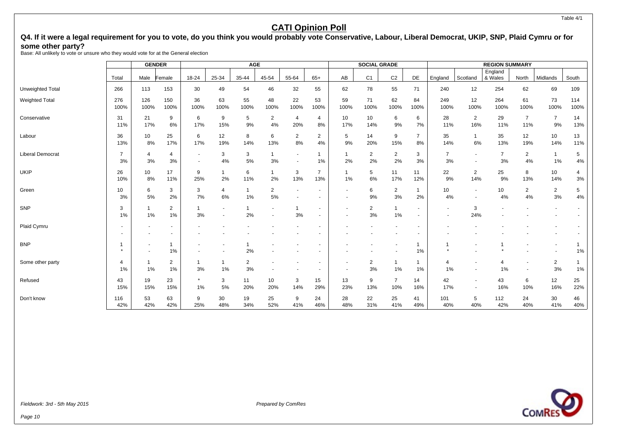Table 4/1

### **CATI Opinion Poll**

### Q4. If it were a legal requirement for you to vote, do you think you would probably vote Conservative, Labour, Liberal Democrat, UKIP, SNP, Plaid Cymru or for **some other party?**

Base: All unlikely to vote or unsure who they would vote for at the General election

|                         |                      |                      | <b>GENDER</b>            |                      |                    | <b>AGE</b>              |                      |                                  |                       |                          | <b>SOCIAL GRADE</b>  |                       |                                                      |                |                                                      | <b>REGION SUMMARY</b> |                       |                      |             |
|-------------------------|----------------------|----------------------|--------------------------|----------------------|--------------------|-------------------------|----------------------|----------------------------------|-----------------------|--------------------------|----------------------|-----------------------|------------------------------------------------------|----------------|------------------------------------------------------|-----------------------|-----------------------|----------------------|-------------|
|                         | Total                | Male                 | Female                   | 18-24                | 25-34              | 35-44                   | 45-54                | 55-64                            | $65+$                 | AB                       | C <sub>1</sub>       | C <sub>2</sub>        | DE                                                   | England        | Scotland                                             | England<br>& Wales    | North                 | Midlands             | South       |
| Unweighted Total        | 266                  | 113                  | 153                      | 30                   | 49                 | 54                      | 46                   | 32                               | 55                    | 62                       | 78                   | 55                    | 71                                                   | 240            | 12                                                   | 254                   | 62                    | 69                   | 109         |
| <b>Weighted Total</b>   | 276<br>100%          | 126<br>100%          | 150<br>100%              | 36<br>100%           | 63<br>100%         | 55<br>100%              | 48<br>100%           | 22<br>100%                       | 53<br>100%            | 59<br>100%               | 71<br>100%           | 62<br>100%            | 84<br>100%                                           | 249<br>100%    | 12<br>100%                                           | 264<br>100%           | 61<br>100%            | 73<br>100%           | 114<br>100% |
| Conservative            | 31<br>11%            | 21<br>17%            | 9<br>6%                  | 6<br>17%             | 9<br>15%           | 5<br>9%                 | $\overline{2}$<br>4% | $\overline{4}$<br>20%            | 4<br>8%               | 10<br>17%                | 10<br>14%            | 6<br>9%               | 6<br>7%                                              | 28<br>11%      | $\overline{2}$<br>16%                                | 29<br>11%             | $\overline{7}$<br>11% | $\overline{7}$<br>9% | 14<br>13%   |
| Labour                  | 36<br>13%            | 10<br>8%             | 25<br>17%                | 6<br>17%             | 12<br>19%          | 8<br>14%                | 6<br>13%             | $\overline{2}$<br>8%             | $\overline{2}$<br>4%  | 5<br>9%                  | 14<br>20%            | 9<br>15%              | $\overline{7}$<br>8%                                 | 35<br>14%      | $\mathbf{1}$<br>6%                                   | 35<br>13%             | 12<br>19%             | 10<br>14%            | 13<br>11%   |
| <b>Liberal Democrat</b> | $\overline{7}$<br>3% | $\overline{4}$<br>3% | 4<br>3%                  |                      | 3<br>4%            | 3<br>$5\%$              | $\mathbf 1$<br>3%    | $\blacksquare$<br>$\blacksquare$ | 1<br>1%               | $\mathbf{1}$<br>2%       | $\overline{2}$<br>2% | 2<br>2%               | 3<br>3%                                              | 7<br>3%        | $\overline{\phantom{a}}$<br>$\overline{\phantom{a}}$ | 7<br>3%               | 2<br>4%               | $\overline{1}$<br>1% | 5<br>4%     |
| <b>UKIP</b>             | 26<br>10%            | 10<br>8%             | 17<br>11%                | 9<br>25%             | $\mathbf{1}$<br>2% | 6<br>11%                | $\mathbf{1}$<br>2%   | 3<br>13%                         | $\overline{7}$<br>13% | $\mathbf{1}$<br>1%       | 5<br>6%              | 11<br>17%             | 11<br>12%                                            | 22<br>9%       | $\overline{2}$<br>14%                                | 25<br>9%              | 8<br>13%              | 10<br>14%            | 4<br>3%     |
| Green                   | 10<br>3%             | 6<br>5%              | 3<br>2%                  | 3<br>7%              | 4<br>6%            | $\overline{1}$<br>$1\%$ | $\overline{2}$<br>5% |                                  |                       | $\overline{\phantom{a}}$ | 6<br>9%              | $\overline{2}$<br>3%  | $\mathbf 1$<br>2%                                    | 10<br>4%       | $\overline{\phantom{a}}$                             | 10<br>4%              | $\overline{2}$<br>4%  | $\overline{2}$<br>3% | 5<br>$4\%$  |
| SNP                     | 3<br>1%              | $\overline{1}$<br>1% | 2<br>1%                  | $\overline{1}$<br>3% |                    | 2%                      |                      | 3%                               |                       |                          | $\overline{2}$<br>3% | 1%                    | $\overline{\phantom{a}}$<br>$\overline{\phantom{a}}$ | $\overline{a}$ | 3<br>24%                                             |                       |                       |                      |             |
| Plaid Cymru             | $\overline{a}$       |                      | $\overline{\phantom{a}}$ |                      |                    |                         |                      |                                  |                       |                          |                      |                       | $\overline{\phantom{a}}$                             |                |                                                      |                       |                       |                      |             |
| <b>BNP</b>              | $\star$              |                      | $\mathbf{1}$<br>1%       |                      |                    | 2%                      |                      |                                  |                       |                          |                      |                       | 1%                                                   |                |                                                      |                       |                       |                      | $1\%$       |
| Some other party        | $\overline{4}$<br>1% | $\overline{1}$<br>1% | $\overline{2}$<br>1%     | $\mathbf{1}$<br>3%   | $\mathbf 1$<br>1%  | $\overline{2}$<br>3%    |                      |                                  |                       |                          | $\overline{2}$<br>3% | -1<br>1%              | $\mathbf 1$<br>1%                                    | 4<br>1%        | $\overline{\phantom{a}}$                             | 4<br>1%               |                       | $\overline{a}$<br>3% | $1\%$       |
| Refused                 | 43<br>15%            | 19<br>15%            | 23<br>15%                | 1%                   | 3<br>5%            | 11<br>20%               | 10<br>20%            | 3<br>14%                         | 15<br>29%             | 13<br>23%                | 9<br>13%             | $\overline{7}$<br>10% | 14<br>16%                                            | 42<br>17%      | $\overline{\phantom{a}}$<br>$\overline{\phantom{a}}$ | 43<br>16%             | 6<br>10%              | 12<br>16%            | 25<br>22%   |
| Don't know              | 116<br>42%           | 53<br>42%            | 63<br>42%                | 9<br>25%             | 30<br>48%          | 19<br>34%               | 25<br>52%            | 9<br>41%                         | 24<br>46%             | 28<br>48%                | 22<br>31%            | 25<br>41%             | 41<br>49%                                            | 101<br>40%     | 5<br>40%                                             | 112<br>42%            | 24<br>40%             | 30<br>41%            | 46<br>40%   |

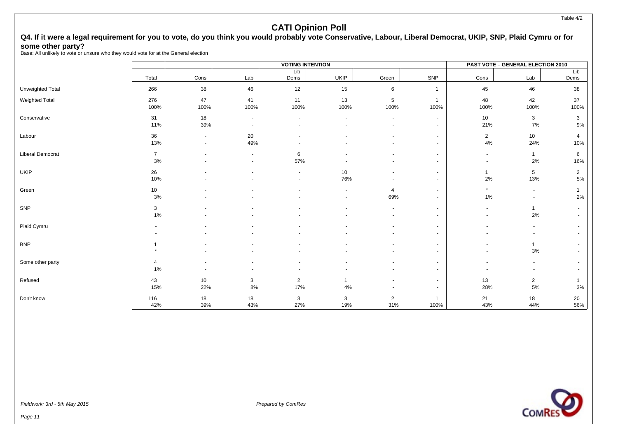### Q4. If it were a legal requirement for you to vote, do you think you would probably vote Conservative, Labour, Liberal Democrat, UKIP, SNP, Plaid Cymru or for **some other party?**

Base: All unlikely to vote or unsure who they would vote for at the General election

|                       |                |                          |                          | <b>VOTING INTENTION</b> |                |                          |                |                | <b>PAST VOTE - GENERAL ELECTION 2010</b> |                |
|-----------------------|----------------|--------------------------|--------------------------|-------------------------|----------------|--------------------------|----------------|----------------|------------------------------------------|----------------|
|                       | Total          | Cons                     | Lab                      | Lib<br>Dems             | <b>UKIP</b>    | Green                    | SNP            | Cons           | Lab                                      | Lib<br>Dems    |
|                       |                |                          |                          |                         |                |                          |                |                |                                          |                |
| Unweighted Total      | 266            | 38                       | 46                       | 12                      | 15             | 6                        | 1              | 45             | 46                                       | 38             |
| <b>Weighted Total</b> | 276            | 47                       | 41                       | 11                      | 13             | $\mathbf 5$              | $\mathbf{1}$   | 48             | 42                                       | 37             |
|                       | 100%           | 100%                     | 100%                     | 100%                    | 100%           | 100%                     | 100%           | 100%           | 100%                                     | 100%           |
| Conservative          | 31             | 18                       | $\overline{\phantom{a}}$ | $\blacksquare$          |                | $\overline{\phantom{a}}$ | $\sim$         | 10             | 3                                        | 3              |
|                       | 11%            | 39%                      |                          |                         |                |                          |                | 21%            | 7%                                       | $9\%$          |
| Labour                | 36             | $\overline{\phantom{a}}$ | 20                       |                         |                |                          | $\sim$         | $\overline{2}$ | $10$                                     | $\overline{4}$ |
|                       | 13%            | $\overline{\phantom{a}}$ | 49%                      |                         |                |                          | $\sim$         | 4%             | 24%                                      | 10%            |
| Liberal Democrat      | $\overline{7}$ |                          |                          | 6                       |                |                          |                | $\sim$         | $\mathbf{1}$                             | 6              |
|                       | 3%             |                          |                          | 57%                     |                |                          |                | $\sim$         | 2%                                       | 16%            |
| <b>UKIP</b>           | 26             |                          |                          | $\tilde{\phantom{a}}$   | 10             |                          |                | $\mathbf 1$    | $\sqrt{5}$                               | $\overline{2}$ |
|                       | 10%            |                          |                          |                         | 76%            |                          |                | $2\%$          | 13%                                      | $5\%$          |
| Green                 | 10             |                          |                          |                         | $\overline{a}$ | $\overline{4}$           |                | $\star$        | $\overline{\phantom{a}}$                 |                |
|                       | 3%             |                          |                          |                         |                | 69%                      |                | 1%             | $\overline{\phantom{a}}$                 | 2%             |
| SNP                   | 3              |                          |                          |                         |                | $\overline{\phantom{a}}$ | $\sim$         | $\sim$         | $\mathbf{1}$                             |                |
|                       | 1%             |                          |                          |                         |                | $\overline{\phantom{a}}$ | $\overline{a}$ | $\sim$         | 2%                                       |                |
| Plaid Cymru           | $\sim$         |                          |                          |                         |                |                          | $\overline{a}$ |                |                                          |                |
|                       | $\blacksquare$ |                          |                          |                         |                |                          |                |                |                                          |                |
| <b>BNP</b>            | $\mathbf{1}$   |                          |                          |                         |                |                          |                |                | $\mathbf{1}$                             |                |
|                       | $\star$        |                          |                          |                         |                |                          |                | $\overline{a}$ | 3%                                       |                |
| Some other party      | $\overline{4}$ |                          |                          |                         |                |                          |                |                | $\overline{\phantom{a}}$                 |                |
|                       | 1%             |                          |                          |                         |                |                          | $\sim$         |                | $\blacksquare$                           |                |
| Refused               | 43             | 10                       | 3                        | $\overline{2}$          | $\mathbf{1}$   |                          | $\overline{a}$ | 13             | $\sqrt{2}$                               |                |
|                       | 15%            | 22%                      | 8%                       | 17%                     | 4%             |                          |                | 28%            | 5%                                       | 3%             |
| Don't know            | 116            | 18                       | 18                       | 3                       | 3              | $\overline{2}$           | $\mathbf 1$    | 21             | 18                                       | 20             |
|                       | 42%            | 39%                      | 43%                      | 27%                     | 19%            | 31%                      | 100%           | 43%            | 44%                                      | 56%            |



Fieldwork: 3rd - 5th May 2015 **Prepared by ComPession** Prepared by ComPession Prepared by ComPession Prepared by ComPession Prepared by ComPession Prepared by ComPession Prepared by ComPession Prepared by ComPession Prepar

Page 11

Table 4/2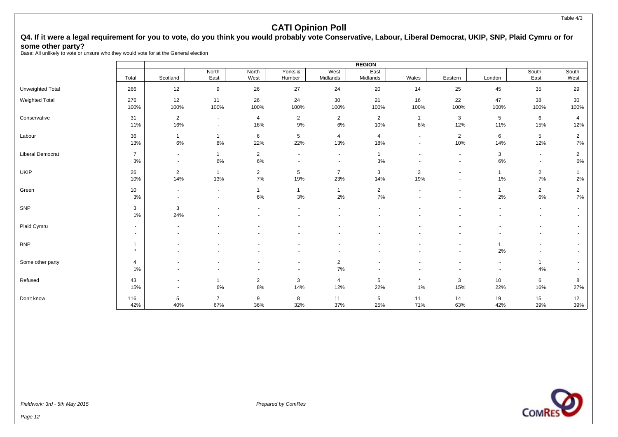### Q4. If it were a legal requirement for you to vote, do you think you would probably vote Conservative, Labour, Liberal Democrat, UKIP, SNP, Plaid Cymru or for **some other party?**

Base: All unlikely to vote or unsure who they would vote for at the General election

|                         |                |                          |                |                |                |                          | <b>REGION</b>  |                          |                          |                          |                          |                |
|-------------------------|----------------|--------------------------|----------------|----------------|----------------|--------------------------|----------------|--------------------------|--------------------------|--------------------------|--------------------------|----------------|
|                         |                |                          | North          | North          | Yorks &        | West                     | East           |                          |                          |                          | South                    | South          |
|                         | Total          | Scotland                 | East           | West           | Humber         | Midlands                 | Midlands       | Wales                    | Eastern                  | London                   | East                     | West           |
| <b>Unweighted Total</b> | 266            | 12                       | 9              | 26             | 27             | 24                       | 20             | 14                       | 25                       | 45                       | 35                       | 29             |
| Weighted Total          | 276            | 12                       | 11             | 26             | 24             | 30                       | 21             | 16                       | 22                       | 47                       | 38                       | 30             |
|                         | 100%           | 100%                     | 100%           | 100%           | 100%           | 100%                     | 100%           | 100%                     | 100%                     | 100%                     | 100%                     | 100%           |
| Conservative            | 31             | $\overline{2}$           | $\sim$         | 4              | $\overline{2}$ | $\overline{2}$           | $\overline{2}$ | $\mathbf{1}$             | 3                        | 5                        | 6                        | 4              |
|                         | 11%            | 16%                      | $\sim$         | 16%            | 9%             | 6%                       | 10%            | $8\%$                    | 12%                      | 11%                      | 15%                      | 12%            |
| Labour                  | 36             | $\mathbf{1}$             | $\mathbf{1}$   | 6              | 5              | $\overline{4}$           | $\overline{4}$ | $\overline{\phantom{a}}$ | $\overline{2}$           | 6                        | $5\phantom{.0}$          | $\overline{2}$ |
|                         | 13%            | 6%                       | $8\%$          | 22%            | 22%            | 13%                      | 18%            | $\overline{\phantom{a}}$ | 10%                      | 14%                      | 12%                      | 7%             |
| Liberal Democrat        | $\overline{7}$ | $\sim$                   | $\mathbf{1}$   | $\overline{2}$ | ٠              | $\sim$                   | $\mathbf 1$    | $\overline{\phantom{a}}$ | $\overline{\phantom{a}}$ | 3                        | $\sim$                   | $\overline{2}$ |
|                         | 3%             | $\sim$                   | 6%             | 6%             | $\blacksquare$ | $\overline{\phantom{a}}$ | 3%             |                          | $\blacksquare$           | 6%                       | $\overline{\phantom{a}}$ | 6%             |
| <b>UKIP</b>             | 26             | $\overline{2}$           | $\mathbf{1}$   | $\overline{2}$ | 5              | $\overline{7}$           | 3              | 3                        | $\blacksquare$           | $\overline{1}$           | $\overline{2}$           |                |
|                         | 10%            | 14%                      | 13%            | 7%             | 19%            | 23%                      | 14%            | 19%                      | $\blacksquare$           | 1%                       | 7%                       | 2%             |
| Green                   | 10             |                          | $\sim$         | $\mathbf{1}$   | $\mathbf{1}$   | $\mathbf{1}$             | $\overline{2}$ | $\overline{\phantom{a}}$ |                          | $\mathbf{1}$             | $\overline{2}$           | $\overline{2}$ |
|                         | 3%             |                          | $\blacksquare$ | 6%             | 3%             | 2%                       | 7%             |                          |                          | $2\%$                    | $6\%$                    | $7\%$          |
| SNP                     | 3              | 3                        |                |                | ٠              | $\overline{\phantom{a}}$ | $\overline{a}$ |                          |                          |                          | $\sim$                   | $\sim$         |
|                         | 1%             | 24%                      |                |                |                |                          |                |                          |                          |                          | $\overline{\phantom{a}}$ | $\sim$         |
| Plaid Cymru             | $\blacksquare$ |                          |                |                |                |                          |                |                          |                          |                          |                          |                |
|                         | $\blacksquare$ |                          |                |                |                |                          |                |                          |                          |                          |                          |                |
| <b>BNP</b>              | -1             |                          |                |                |                |                          |                |                          |                          | $\mathbf 1$              | $\overline{\phantom{a}}$ |                |
|                         | $\star$        |                          |                |                |                |                          |                |                          |                          | 2%                       | $\overline{\phantom{a}}$ |                |
| Some other party        | 4              |                          |                |                | $\blacksquare$ | $\overline{2}$           | ٠              |                          |                          | $\overline{\phantom{a}}$ | $\mathbf{1}$             |                |
|                         | $1\%$          |                          |                |                | $\sim$         | 7%                       | $\overline{a}$ |                          |                          | $\blacksquare$           | 4%                       | $\sim$         |
| Refused                 | 43             |                          | $\mathbf{1}$   | $\overline{2}$ | 3              | 4                        | $\sqrt{5}$     | $\star$                  | 3                        | 10                       | 6                        | 8              |
|                         | 15%            | $\overline{\phantom{a}}$ | 6%             | 8%             | 14%            | 12%                      | 22%            | $1\%$                    | 15%                      | 22%                      | 16%                      | 27%            |
| Don't know              | 116            | 5                        | $\overline{7}$ | 9              | 8              | 11                       | $\sqrt{5}$     | 11                       | 14                       | 19                       | 15                       | 12             |
|                         | 42%            | 40%                      | 67%            | 36%            | 32%            | 37%                      | 25%            | 71%                      | 63%                      | 42%                      | 39%                      | 39%            |

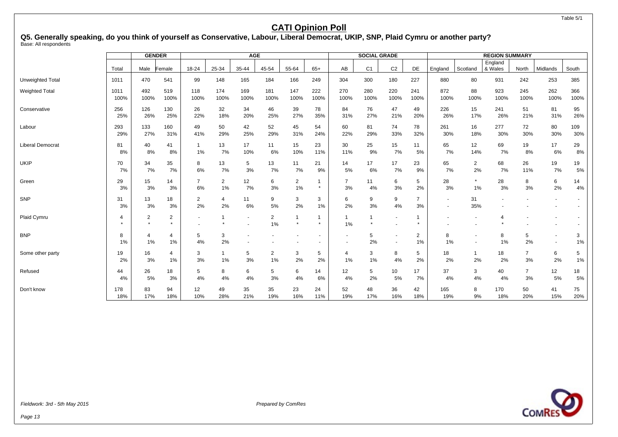#### Table 5/1

## **CATI Opinion Poll**

**Q5. Generally speaking, do you think of yourself as Conservative, Labour, Liberal Democrat, UKIP, SNP, Plaid Cymru or another party?** Base: All respondents

|                         |                       |                | <b>GENDER</b>             |         |                | <b>AGE</b> |                         |                           |                |                    | <b>SOCIAL GRADE</b> |                                                      |                      |                                    |                | <b>REGION SUMMARY</b> |                |                                            |         |
|-------------------------|-----------------------|----------------|---------------------------|---------|----------------|------------|-------------------------|---------------------------|----------------|--------------------|---------------------|------------------------------------------------------|----------------------|------------------------------------|----------------|-----------------------|----------------|--------------------------------------------|---------|
|                         | Total                 | Male           | Female                    | 18-24   | 25-34          | 35-44      | 45-54                   | 55-64                     | $65+$          | AB                 | C <sub>1</sub>      | C <sub>2</sub>                                       | DE                   | England                            | Scotland       | England<br>& Wales    | North          | Midlands                                   | South   |
|                         |                       |                |                           |         |                |            |                         |                           |                |                    |                     |                                                      |                      |                                    |                |                       |                |                                            |         |
| <b>Unweighted Total</b> | 1011                  | 470            | 541                       | 99      | 148            | 165        | 184                     | 166                       | 249            | 304                | 300                 | 180                                                  | 227                  | 880                                | 80             | 931                   | 242            | 253                                        | 385     |
| <b>Weighted Total</b>   | 1011                  | 492            | 519                       | 118     | 174            | 169        | 181                     | 147                       | 222            | 270                | 280                 | 220                                                  | 241                  | 872                                | 88             | 923                   | 245            | 262                                        | 366     |
|                         | 100%                  | 100%           | 100%                      | 100%    | 100%           | 100%       | 100%                    | 100%                      | 100%           | 100%               | 100%                | 100%                                                 | 100%                 | 100%                               | 100%           | 100%                  | 100%           | 100%                                       | 100%    |
| Conservative            | 256                   | 126            | 130                       | 26      | 32             | 34         | 46                      | 39                        | 78             | 84                 | 76                  | 47                                                   | 49                   | 226                                | 15             | 241                   | 51             | 81                                         | 95      |
|                         | 25%                   | 26%            | 25%                       | 22%     | 18%            | 20%        | 25%                     | 27%                       | 35%            | 31%                | 27%                 | 21%                                                  | 20%                  | 26%                                | 17%            | 26%                   | 21%            | 31%                                        | 26%     |
| Labour                  | 293                   | 133            | 160                       | 49      | 50             | 42         | 52                      | 45                        | 54             | 60                 | 81                  | 74                                                   | 78                   | 261                                | 16             | 277                   | 72             | 80                                         | 109     |
|                         | 29%                   | 27%            | 31%                       | 41%     | 29%            | 25%        | 29%                     | 31%                       | 24%            | 22%                | 29%                 | 33%                                                  | 32%                  | 30%                                | 18%            | 30%                   | 30%            | 30%                                        | 30%     |
| <b>Liberal Democrat</b> | 81                    | 40             | 41                        | -1      | 13             | 17         | 11                      | 15                        | 23             | 30                 | 25                  | 15                                                   | 11                   | 65                                 | 12             | 69                    | 19             | 17                                         | 29      |
|                         | 8%                    | 8%             | 8%                        | $1\%$   | 7%             | 10%        | 6%                      | 10%                       | 11%            | 11%                | 9%                  | 7%                                                   | 5%                   | 7%                                 | 14%            | 7%                    | 8%             | 6%                                         | 8%      |
| <b>UKIP</b>             | 70                    | 34             | 35                        | 8       | 13             | 5          | 13                      | 11                        | 21             | 14                 | 17                  | 17                                                   | 23                   | 65                                 | $\overline{a}$ | 68                    | 26             | 19                                         | 19      |
|                         | 7%                    | 7%             | 7%                        | 6%      | 7%             | 3%         | 7%                      | 7%                        | 9%             | 5%                 | 6%                  | 7%                                                   | 9%                   | 7%                                 | 2%             | 7%                    | 11%            | 7%                                         | 5%      |
| Green                   | 29                    | 15             | 14                        | 7       | $\overline{2}$ | 12         | 6                       | $\overline{2}$            | $\mathbf 1$    | $\overline{7}$     | 11                  | 6                                                    | 5                    | 28                                 | $\star$        | 28                    | 8              | 6                                          | 14      |
|                         | 3%                    | 3%             | 3%                        | 6%      | 1%             | 7%         | 3%                      | 1%                        | $\star$        | 3%                 | 4%                  | 3%                                                   | 2%                   | 3%                                 | $1\%$          | 3%                    | 3%             | 2%                                         | 4%      |
| SNP                     | 31<br>3%              | 13<br>3%       | 18<br>3%                  | 2<br>2% | 4<br>2%        | 11<br>6%   | 9<br>5%                 | 3<br>2%                   | 3<br>1%        | 6<br>2%            | 9<br>3%             | 9<br>4%                                              | $\overline{7}$<br>3% | $\overline{\phantom{a}}$<br>$\sim$ | 31<br>35%      |                       |                | $\overline{\phantom{a}}$<br>$\blacksquare$ |         |
| Plaid Cymru             | $\boldsymbol{\Delta}$ | $\overline{2}$ | $\overline{2}$<br>$\star$ |         |                | $\sim$     | $\overline{2}$<br>$1\%$ | $\overline{1}$<br>$\star$ | 1<br>$\bullet$ | $\mathbf{1}$<br>1% | $\star$             | $\overline{\phantom{a}}$                             |                      |                                    |                |                       |                |                                            |         |
| <b>BNP</b>              | 8<br>1%               | 4<br>1%        | $\overline{4}$<br>$1\%$   | 5<br>4% | 3<br>2%        |            |                         |                           | $\sim$         | $\blacksquare$     | 5<br>2%             | $\overline{\phantom{a}}$<br>$\overline{\phantom{a}}$ | $\overline{2}$<br>1% | 8<br>1%                            |                | 8<br>1%               | 5<br>2%        | $\blacksquare$<br>$\overline{\phantom{a}}$ | 3<br>1% |
| Some other party        | 19                    | 16             | $\overline{4}$            | 3       | $\mathbf{1}$   | 5          | $\overline{2}$          | 3                         | 5              | $\overline{4}$     | 3                   | 8                                                    | 5                    | 18                                 | 1              | 18                    | $\overline{7}$ | 6                                          | 5       |
|                         | 2%                    | 3%             | $1\%$                     | 3%      | 1%             | 3%         | 1%                      | 2%                        | 2%             | 1%                 | 1%                  | 4%                                                   | 2%                   | 2%                                 | 2%             | 2%                    | 3%             | 2%                                         | 1%      |
| Refused                 | 44                    | 26             | 18                        | 5       | 8              | 6          | 5                       | 6                         | 14             | 12                 | 5                   | 10                                                   | 17                   | 37                                 | 3              | 40                    | 7              | 12                                         | 18      |
|                         | 4%                    | 5%             | 3%                        | 4%      | 4%             | 4%         | 3%                      | 4%                        | 6%             | 4%                 | 2%                  | 5%                                                   | 7%                   | 4%                                 | 4%             | 4%                    | 3%             | 5%                                         | 5%      |
| Don't know              | 178                   | 83             | 94                        | 12      | 49             | 35         | 35                      | 23                        | 24             | 52                 | 48                  | 36                                                   | 42                   | 165                                | 8              | 170                   | 50             | 41                                         | 75      |
|                         | 18%                   | 17%            | 18%                       | 10%     | 28%            | 21%        | 19%                     | 16%                       | 11%            | 19%                | 17%                 | 16%                                                  | 18%                  | 19%                                | 9%             | 18%                   | 20%            | 15%                                        | 20%     |

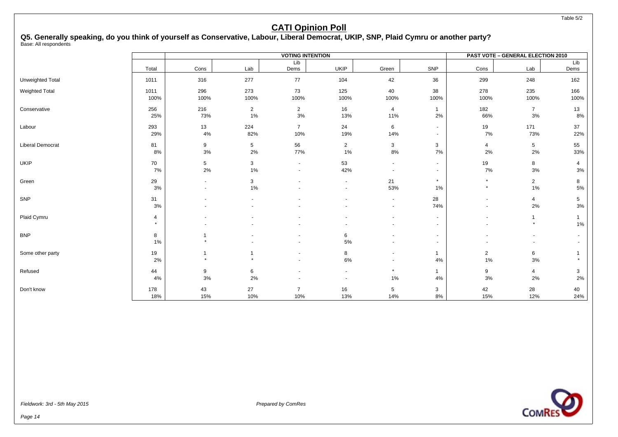Table 5/2

## **CATI Opinion Poll**

**Q5. Generally speaking, do you think of yourself as Conservative, Labour, Liberal Democrat, UKIP, SNP, Plaid Cymru or another party?** Base: All respondents

|                         |                           |                                            |                       | <b>VOTING INTENTION</b>  |                                    |                       |                    |                         | <b>PAST VOTE - GENERAL ELECTION 2010</b> |                        |
|-------------------------|---------------------------|--------------------------------------------|-----------------------|--------------------------|------------------------------------|-----------------------|--------------------|-------------------------|------------------------------------------|------------------------|
|                         | Total                     | Cons                                       | Lab                   | Lib<br>Dems              | <b>UKIP</b>                        | Green                 | SNP                | Cons                    | Lab                                      | Lib<br>Dems            |
| Unweighted Total        | 1011                      | 316                                        | 277                   | 77                       | 104                                | 42                    | 36                 | 299                     | 248                                      | 162                    |
| Weighted Total          | 1011<br>100%              | 296<br>100%                                | 273<br>100%           | 73<br>100%               | 125<br>100%                        | 40<br>100%            | 38<br>100%         | 278<br>100%             | 235<br>100%                              | 166<br>100%            |
| Conservative            | 256<br>25%                | 216<br>73%                                 | $\overline{2}$<br>1%  | $\overline{2}$<br>$3%$   | 16<br>13%                          | $\overline{4}$<br>11% | $\mathbf{1}$<br>2% | 182<br>66%              | $\overline{7}$<br>$3\%$                  | 13<br>8%               |
| Labour                  | 293<br>29%                | 13<br>4%                                   | 224<br>82%            | $\overline{7}$<br>10%    | 24<br>19%                          | 6<br>14%              | $\sim$<br>$\sim$   | 19<br>7%                | 171<br>73%                               | 37<br>22%              |
| <b>Liberal Democrat</b> | 81<br>8%                  | 9<br>$3%$                                  | $5\phantom{.0}$<br>2% | 56<br>77%                | $\overline{2}$<br>1%               | 3<br>$8\%$            | 3<br>$7\%$         | $\overline{4}$<br>2%    | $\sqrt{5}$<br>2%                         | 55<br>33%              |
| <b>UKIP</b>             | 70<br>7%                  | $\sqrt{5}$<br>2%                           | 3<br>1%               | $\sim$<br>$\blacksquare$ | 53<br>42%                          | $\sim$<br>$\sim$      | $\sim$<br>$\sim$   | 19<br>$7\%$             | 8<br>3%                                  | $\overline{4}$<br>$3%$ |
| Green                   | 29<br>3%                  | $\blacksquare$<br>$\overline{\phantom{a}}$ | 3<br>1%               |                          | $\blacksquare$                     | 21<br>53%             | $\star$<br>1%      | $\star$<br>$\star$      | $\overline{2}$<br>1%                     | 8<br>5%                |
| SNP                     | 31<br>3%                  |                                            | $\blacksquare$        |                          | $\overline{\phantom{a}}$           | $\sim$<br>$\sim$      | 28<br>74%          |                         | $\overline{4}$<br>2%                     | 5<br>$3\%$             |
| Plaid Cymru             | $\overline{4}$<br>$\star$ |                                            |                       |                          | $\blacksquare$                     |                       |                    |                         | $\mathbf 1$<br>$\star$                   | 1%                     |
| <b>BNP</b>              | 8<br>$1\%$                |                                            |                       |                          | 6<br>5%                            |                       | $\sim$<br>$\sim$   |                         | $\overline{\phantom{a}}$                 |                        |
| Some other party        | 19<br>2%                  | $\overline{1}$                             | -1<br>$\star$         | $\overline{\phantom{a}}$ | 8<br>6%                            | $\sim$<br>$\sim$      | $\mathbf{1}$<br>4% | $\overline{2}$<br>$1\%$ | 6<br>3%                                  |                        |
| Refused                 | 44<br>4%                  | 9<br>3%                                    | 6<br>2%               |                          | $\sim$<br>$\overline{\phantom{a}}$ | $\star$<br>$1\%$      | $\mathbf{1}$<br>4% | 9<br>$3%$               | 4<br>2%                                  | 3<br>2%                |
| Don't know              | 178<br>18%                | 43<br>15%                                  | 27<br>10%             | $\overline{7}$<br>10%    | 16<br>13%                          | 5<br>14%              | 3<br>8%            | 42<br>15%               | 28<br>12%                                | 40<br>24%              |

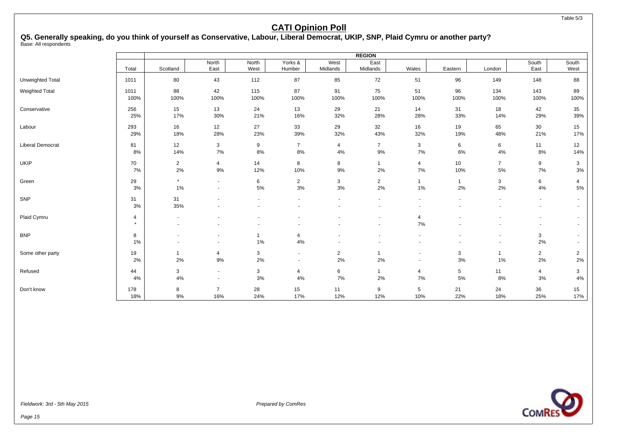# **Q5. Generally speaking, do you think of yourself as Conservative, Labour, Liberal Democrat, UKIP, SNP, Plaid Cymru or another party?**

Base: All respondents

|                         |              |                |                          |                   |                   |                  | <b>REGION</b>                                        |                          |              |                |                                            |                |
|-------------------------|--------------|----------------|--------------------------|-------------------|-------------------|------------------|------------------------------------------------------|--------------------------|--------------|----------------|--------------------------------------------|----------------|
|                         | Total        | Scotland       | North<br>East            | North<br>West     | Yorks &<br>Humber | West<br>Midlands | East<br>Midlands                                     | Wales                    | Eastern      | London         | South<br>East                              | South<br>West  |
| Unweighted Total        | 1011         | 80             | 43                       | 112               | 87                | 85               | 72                                                   | 51                       | 96           | 149            | 148                                        | 88             |
| <b>Weighted Total</b>   | 1011         | 88             | 42                       | 115               | 87                | 91               | 75                                                   | 51                       | 96           | 134            | 143                                        | 89             |
|                         | 100%         | 100%           | 100%                     | 100%              | 100%              | 100%             | 100%                                                 | 100%                     | 100%         | 100%           | 100%                                       | 100%           |
| Conservative            | 256          | 15             | 13                       | 24                | 13                | 29               | 21                                                   | 14                       | 31           | 18             | 42                                         | 35             |
|                         | 25%          | 17%            | 30%                      | 21%               | 16%               | 32%              | 28%                                                  | 28%                      | 33%          | 14%            | 29%                                        | 39%            |
| Labour                  | 293          | 16             | 12                       | 27                | 33                | 29               | 32                                                   | 16                       | 19           | 65             | 30                                         | 15             |
|                         | 29%          | 18%            | 28%                      | 23%               | 39%               | 32%              | 43%                                                  | 32%                      | 19%          | 48%            | 21%                                        | 17%            |
| <b>Liberal Democrat</b> | 81           | 12             | 3                        | 9                 | $\overline{7}$    | 4                | $\overline{7}$                                       | 3                        | 6            | 6              | 11                                         | 12             |
|                         | 8%           | 14%            | 7%                       | 8%                | 8%                | 4%               | $9%$                                                 | 7%                       | 6%           | 4%             | 8%                                         | 14%            |
| <b>UKIP</b>             | 70           | $\overline{2}$ | $\overline{4}$           | 14                | 8                 | 8                | $\mathbf{1}$                                         | 4                        | 10           | $\overline{7}$ | 9                                          | $\mathbf{3}$   |
|                         | 7%           | $2\%$          | 9%                       | 12%               | 10%               | 9%               | 2%                                                   | 7%                       | 10%          | 5%             | 7%                                         | 3%             |
| Green                   | 29           | $\star$        | $\sim$                   | 6                 | $\overline{2}$    | 3                | $\overline{2}$                                       | $\mathbf{1}$             | $\mathbf{1}$ | 3              | 6                                          | 4              |
|                         | 3%           | $1\%$          | $\overline{\phantom{a}}$ | 5%                | 3%                | 3%               | 2%                                                   | 1%                       | 2%           | 2%             | $4\%$                                      | $5\%$          |
| SNP                     | 31<br>3%     | 31<br>35%      |                          |                   | $\blacksquare$    |                  | $\overline{\phantom{a}}$<br>$\overline{\phantom{a}}$ |                          |              |                | $\sim$<br>$\sim$                           | $\sim$         |
| Plaid Cymru             | 4<br>$\star$ |                |                          |                   |                   |                  | $\overline{\phantom{a}}$<br>$\blacksquare$           | 4<br>7%                  |              |                | $\overline{\phantom{a}}$<br>$\blacksquare$ |                |
| <b>BNP</b>              | 8<br>1%      |                | $\blacksquare$           | $\mathbf 1$<br>1% | 4<br>4%           |                  |                                                      | $\blacksquare$           |              | $\blacksquare$ | 3<br>2%                                    |                |
| Some other party        | 19           | $\mathbf{1}$   | 4                        | 3                 | $\blacksquare$    | $\overline{2}$   | $\overline{1}$                                       | $\overline{\phantom{a}}$ | 3            | $\mathbf{1}$   | $\overline{2}$                             | $\overline{2}$ |
|                         | 2%           | 2%             | 9%                       | 2%                | $\sim$            | 2%               | 2%                                                   | $\overline{\phantom{a}}$ | $3%$         | 1%             | 2%                                         | $2\%$          |
| Refused                 | 44           | 3              | $\sim$                   | 3                 | 4                 | 6                | $\overline{1}$                                       | 4                        | 5            | 11             | 4                                          | 3              |
|                         | 4%           | 4%             | $\sim$                   | 3%                | 4%                | 7%               | 2%                                                   | 7%                       | $5\%$        | 8%             | 3%                                         | 4%             |
| Don't know              | 178          | 8              | $\overline{7}$           | 28                | 15                | 11               | 9                                                    | 5                        | 21           | 24             | 36                                         | 15             |
|                         | 18%          | 9%             | 16%                      | 24%               | 17%               | 12%              | 12%                                                  | 10%                      | 22%          | 18%            | 25%                                        | 17%            |

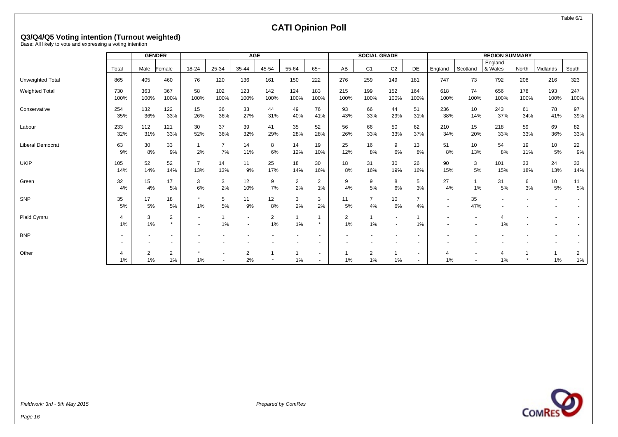Table 6/1

# **CATI Opinion Poll**

# **Q3/Q4/Q5 Voting intention (Turnout weighted)** Base: All likely to vote and expressing a voting intention

|                         |             | <b>GENDER</b> |                          |                          |             | <b>AGE</b>               |                |                |                          |             | <b>SOCIAL GRADE</b> |                          |             |                          |            | <b>REGION SUMMARY</b> |             |             |             |
|-------------------------|-------------|---------------|--------------------------|--------------------------|-------------|--------------------------|----------------|----------------|--------------------------|-------------|---------------------|--------------------------|-------------|--------------------------|------------|-----------------------|-------------|-------------|-------------|
|                         |             |               |                          |                          |             |                          |                |                |                          |             |                     |                          |             |                          |            | England               |             |             |             |
|                         | Total       | Male          | Female                   | 18-24                    | 25-34       | 35-44                    | 45-54          | 55-64          | $65+$                    | AB          | C <sub>1</sub>      | C <sub>2</sub>           | DE          | England                  | Scotland   | & Wales               | North       | Midlands    | South       |
| Unweighted Total        | 865         | 405           | 460                      | 76                       | 120         | 136                      | 161            | 150            | 222                      | 276         | 259                 | 149                      | 181         | 747                      | 73         | 792                   | 208         | 216         | 323         |
| <b>Weighted Total</b>   | 730<br>100% | 363<br>100%   | 367<br>100%              | 58<br>100%               | 102<br>100% | 123<br>100%              | 142<br>100%    | 124<br>100%    | 183<br>100%              | 215<br>100% | 199<br>100%         | 152<br>100%              | 164<br>100% | 618<br>100%              | 74<br>100% | 656<br>100%           | 178<br>100% | 193<br>100% | 247<br>100% |
|                         |             |               |                          |                          |             |                          |                |                |                          |             |                     |                          |             |                          |            |                       |             |             |             |
| Conservative            | 254         | 132           | 122                      | 15                       | 36          | 33                       | 44             | 49             | 76                       | 93          | 66                  | 44                       | 51          | 236                      | 10         | 243                   | 61          | 78          | 97          |
|                         | 35%         | 36%           | 33%                      | 26%                      | 36%         | 27%                      | 31%            | 40%            | 41%                      | 43%         | 33%                 | 29%                      | 31%         | 38%                      | 14%        | 37%                   | 34%         | 41%         | 39%         |
| Labour                  | 233         | 112           | 121                      | 30                       | 37          | 39                       | 41             | 35             | 52                       | 56          | 66                  | 50                       | 62          | 210                      | 15         | 218                   | 59          | 69          | 82          |
|                         | 32%         | 31%           | 33%                      | 52%                      | 36%         | 32%                      | 29%            | 28%            | 28%                      | 26%         | 33%                 | 33%                      | 37%         | 34%                      | 20%        | 33%                   | 33%         | 36%         | 33%         |
| <b>Liberal Democrat</b> | 63          | 30            | 33                       | $\overline{\phantom{a}}$ | 7           | 14                       | 8              | 14             | 19                       | 25          | 16                  | 9                        | 13          | 51                       | 10         | 54                    | 19          | 10          | 22          |
|                         | 9%          | 8%            | 9%                       | 2%                       | 7%          | 11%                      | 6%             | 12%            | 10%                      | 12%         | 8%                  | 6%                       | 8%          | 8%                       | 13%        | 8%                    | 11%         | 5%          | 9%          |
| <b>UKIP</b>             | 105         | 52            | 52                       | 7                        | 14          | 11                       | 25             | 18             | 30                       | 18          | 31                  | 30                       | 26          | 90                       | 3          | 101                   | 33          | 24          | 33          |
|                         | 14%         | 14%           | 14%                      | 13%                      | 13%         | 9%                       | 17%            | 14%            | 16%                      | 8%          | 16%                 | 19%                      | 16%         | 15%                      | 5%         | 15%                   | 18%         | 13%         | 14%         |
| Green                   | 32          | 15            | 17                       | 3                        | 3           | 12                       | 9              | $\overline{2}$ | 2                        | 9           | 9                   | 8                        | 5           | 27                       |            | 31                    | 6           | 10          | 11          |
|                         | 4%          | 4%            | 5%                       | 6%                       | 2%          | 10%                      | 7%             | 2%             | 1%                       | 4%          | 5%                  | 6%                       | 3%          | 4%                       | 1%         | 5%                    | 3%          | 5%          | 5%          |
| SNP                     | 35          | 17            | 18                       |                          | 5           | 11                       | 12             | 3              | 3                        | 11          | $\overline{7}$      | 10                       |             | $\sim$                   | 35         |                       |             |             |             |
|                         | 5%          | 5%            | 5%                       | 1%                       | 5%          | 9%                       | 8%             | 2%             | 2%                       | 5%          | 4%                  | 6%                       | 4%          | $\overline{\phantom{a}}$ | 47%        |                       |             |             |             |
| Plaid Cymru             | 4           | 3             | $\overline{2}$           |                          |             | $\overline{\phantom{a}}$ | $\overline{2}$ |                |                          | 2           |                     | $\overline{\phantom{a}}$ |             |                          |            |                       |             |             |             |
|                         | 1%          | 1%            | $\star$                  |                          | 1%          | $\overline{\phantom{a}}$ | 1%             | 1%             | $\star$                  | 1%          | 1%                  | $\blacksquare$           | 1%          |                          |            | 1%                    |             |             |             |
| <b>BNP</b>              |             |               |                          |                          |             |                          |                |                |                          |             |                     |                          |             |                          |            |                       |             |             |             |
|                         |             |               | $\overline{\phantom{a}}$ |                          |             |                          |                |                |                          |             |                     |                          |             |                          |            |                       |             |             |             |
| Other                   |             | 2             | $\overline{2}$           |                          |             | 2                        |                |                | $\overline{\phantom{a}}$ |             | $\overline{2}$      |                          | $\sim$      | 4                        |            |                       |             |             | 2           |
|                         | 1%          | 1%            | 1%                       | 1%                       |             | 2%                       |                | 1%             |                          | 1%          | 1%                  | 1%                       |             | 1%                       |            | $1\%$                 |             | 1%          | $1\%$       |

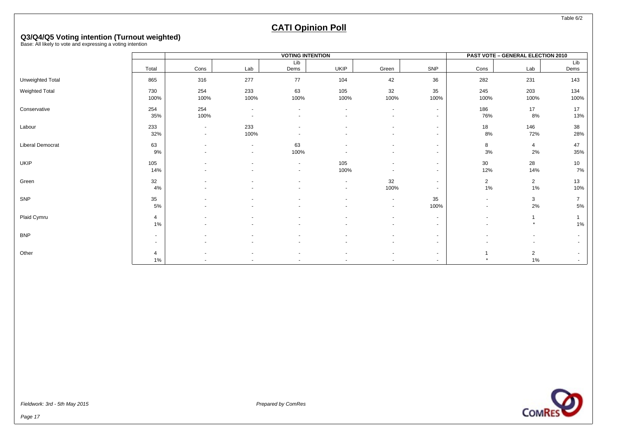Table 6/2

# **CATI Opinion Poll**

# **Q3/Q4/Q5 Voting intention (Turnout weighted)** Base: All likely to vote and expressing a voting intention

|                  |                         |                                                      |                                    | <b>VOTING INTENTION</b>                    |                                    |                                    |                  |                                                      | <b>PAST VOTE - GENERAL ELECTION 2010</b> |                      |
|------------------|-------------------------|------------------------------------------------------|------------------------------------|--------------------------------------------|------------------------------------|------------------------------------|------------------|------------------------------------------------------|------------------------------------------|----------------------|
|                  |                         |                                                      |                                    | Lib                                        |                                    |                                    |                  |                                                      |                                          | Lib                  |
|                  | Total                   | Cons                                                 | Lab                                | Dems                                       | UKIP                               | Green                              | SNP              | Cons                                                 | Lab                                      | Dems                 |
| Unweighted Total | 865                     | 316                                                  | 277                                | 77                                         | 104                                | 42                                 | 36               | 282                                                  | 231                                      | 143                  |
| Weighted Total   | 730<br>100%             | 254<br>100%                                          | 233<br>100%                        | 63<br>100%                                 | 105<br>100%                        | 32<br>100%                         | 35<br>100%       | 245<br>100%                                          | 203<br>100%                              | 134<br>100%          |
| Conservative     | 254<br>35%              | 254<br>100%                                          | $\sim$<br>$\overline{\phantom{a}}$ | $\sim$                                     | $\sim$                             | $\sim$<br>$\overline{a}$           | $\sim$<br>$\sim$ | 186<br>76%                                           | 17<br>8%                                 | 17<br>13%            |
| Labour           | 233<br>32%              | $\blacksquare$<br>$\sim$                             | 233<br>100%                        | $\blacksquare$                             |                                    | $\blacksquare$                     | $\sim$<br>$\sim$ | 18<br>8%                                             | 146<br>72%                               | 38<br>28%            |
| Liberal Democrat | 63<br>9%                | $\overline{\phantom{a}}$<br>$\overline{\phantom{a}}$ | $\sim$<br>$\sim$                   | 63<br>100%                                 |                                    |                                    | $\sim$<br>$\sim$ | 8<br>$3\%$                                           | $\overline{4}$<br>2%                     | 47<br>35%            |
| UKIP             | 105<br>14%              | $\overline{\phantom{a}}$                             |                                    | $\overline{\phantom{a}}$<br>$\blacksquare$ | 105<br>100%                        |                                    | $\sim$<br>$\sim$ | 30<br>12%                                            | 28<br>14%                                | 10<br>7%             |
| Green            | 32<br>4%                |                                                      |                                    |                                            | $\sim$<br>$\overline{\phantom{a}}$ | 32<br>100%                         | $\sim$<br>$\sim$ | $\overline{2}$<br>$1\%$                              | $\overline{2}$<br>1%                     | 13<br>10%            |
| SNP              | 35<br>5%                | $\overline{\phantom{a}}$                             |                                    |                                            | $\overline{a}$                     | $\blacksquare$<br>$\sim$           | 35<br>100%       | $\overline{\phantom{a}}$<br>$\overline{\phantom{a}}$ | 3<br>2%                                  | $\overline{7}$<br>5% |
| Plaid Cymru      | $\overline{4}$<br>$1\%$ | $\overline{\phantom{a}}$                             |                                    | $\overline{\phantom{a}}$                   |                                    | $\overline{\phantom{a}}$<br>$\sim$ | $\sim$<br>$\sim$ | $\overline{\phantom{a}}$<br>$\overline{\phantom{a}}$ | -1<br>$\star$                            | $1\%$                |
| <b>BNP</b>       | $\sim$<br>$\sim$        | $\overline{\phantom{a}}$                             | $\blacksquare$                     | $\overline{\phantom{a}}$                   | $\blacksquare$                     | $\sim$                             | $\sim$<br>$\sim$ | $\overline{\phantom{a}}$                             | $\blacksquare$<br>$\blacksquare$         | $\sim$               |
| Other            | 4<br>1%                 |                                                      |                                    |                                            |                                    |                                    | $\sim$<br>$\sim$ |                                                      | $\overline{2}$<br>1%                     | $\sim$               |

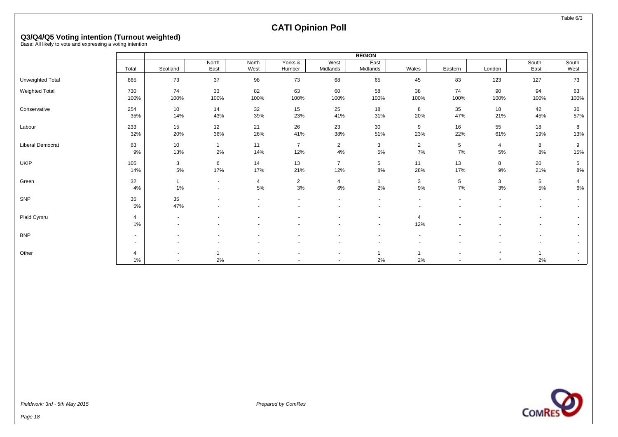Table 6/3

# **CATI Opinion Poll**

# **Q3/Q4/Q5 Voting intention (Turnout weighted)** Base: All likely to vote and expressing a voting intention

|                       |                          |                 |        |                |                |                | <b>REGION</b> |                       |         |         |        |                          |
|-----------------------|--------------------------|-----------------|--------|----------------|----------------|----------------|---------------|-----------------------|---------|---------|--------|--------------------------|
|                       |                          |                 | North  | North          | Yorks &        | West           | East          |                       |         |         | South  | South                    |
|                       | Total                    | Scotland        | East   | West           | Humber         | Midlands       | Midlands      | Wales                 | Eastern | London  | East   | West                     |
| Unweighted Total      | 865                      | 73              | 37     | 98             | 73             | 68             | 65            | 45                    | 83      | 123     | 127    | 73                       |
| <b>Weighted Total</b> | 730                      | 74              | 33     | 82             | 63             | 60             | 58            | 38                    | 74      | 90      | 94     | 63                       |
|                       | 100%                     | 100%            | 100%   | 100%           | 100%           | 100%           | 100%          | 100%                  | 100%    | 100%    | 100%   | 100%                     |
|                       |                          |                 |        |                |                |                |               |                       |         |         |        |                          |
| Conservative          | 254                      | 10 <sup>1</sup> | 14     | 32             | 15             | 25             | 18            | 8                     | 35      | 18      | 42     | 36                       |
|                       | 35%                      | 14%             | 43%    | 39%            | 23%            | 41%            | 31%           | 20%                   | 47%     | 21%     | 45%    | 57%                      |
| Labour                | 233                      | 15              | 12     | 21             | 26             | 23             | 30            | 9                     | 16      | 55      | 18     | 8                        |
|                       | 32%                      | 20%             | 36%    | 26%            | 41%            | 38%            | 51%           | 23%                   | 22%     | 61%     | 19%    | 13%                      |
|                       |                          |                 |        |                |                |                |               |                       |         |         |        |                          |
| Liberal Democrat      | 63                       | 10              |        | 11             | $\overline{7}$ | $\overline{2}$ | 3             | $\overline{2}$        | 5       | 4       | 8      | 9                        |
|                       | 9%                       | 13%             | $2\%$  | 14%            | 12%            | 4%             | $5\%$         | $7\%$                 | $7\%$   | $5\%$   | 8%     | 15%                      |
| <b>UKIP</b>           | 105                      | 3               | 6      | 14             | 13             | $\overline{7}$ | 5             | 11                    | 13      | 8       | 20     | 5                        |
|                       | 14%                      | 5%              | 17%    | 17%            | 21%            | 12%            | 8%            | 28%                   | 17%     | 9%      | 21%    | 8%                       |
|                       |                          |                 |        |                |                |                | 1             |                       |         |         |        |                          |
| Green                 | 32                       |                 | $\sim$ | $\overline{4}$ | $\overline{2}$ | 4              |               | 3                     | 5       | 3       | 5      | 4                        |
|                       | 4%                       | 1%              | $\sim$ | 5%             | $3%$           | 6%             | 2%            | 9%                    | 7%      | 3%      | 5%     | 6%                       |
| SNP                   | 35                       | 35              |        |                |                |                |               |                       |         |         |        | $\overline{\phantom{0}}$ |
|                       | 5%                       | 47%             |        |                |                |                | $\sim$        | $\sim$                |         |         | $\sim$ | $\overline{\phantom{0}}$ |
|                       |                          |                 |        |                |                |                |               |                       |         |         |        |                          |
| Plaid Cymru           | $\overline{4}$<br>$1\%$  | $\blacksquare$  |        |                |                |                | $\sim$        | $\overline{4}$<br>12% |         |         | $\sim$ | $\overline{\phantom{0}}$ |
|                       |                          |                 |        |                |                |                | $\sim$        |                       |         |         |        |                          |
| <b>BNP</b>            | $\overline{\phantom{a}}$ |                 |        |                |                |                | $\sim$        | $\sim$                |         |         | $\sim$ | $\overline{\phantom{0}}$ |
|                       | $\overline{\phantom{a}}$ |                 |        |                |                |                |               |                       |         |         |        | $\sim$                   |
|                       |                          |                 |        |                |                |                |               |                       |         |         | 1      |                          |
| Other                 | $\overline{4}$           |                 |        |                |                |                | 1             |                       |         | $\star$ |        | $\sim$                   |
|                       | $1\%$                    | $\sim$          | 2%     |                |                |                | 2%            | 2%                    |         |         | 2%     | $\sim$                   |

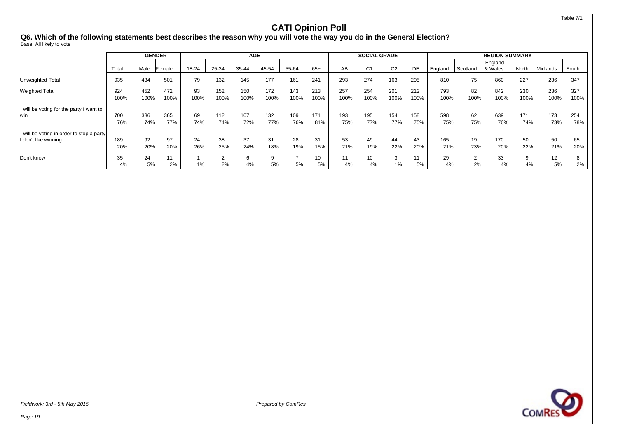Table 7/1

### **CATI Opinion Poll**

**Q6. Which of the following statements best describes the reason why you will vote the way you do in the General Election?**

Base: All likely to vote

|                                           |       |      | <b>GENDER</b> |       |       | <b>AGE</b> |       |       |       |      | <b>SOCIAL GRADE</b> |                |      |         |          | <b>REGION SUMMARY</b> |       |          |       |
|-------------------------------------------|-------|------|---------------|-------|-------|------------|-------|-------|-------|------|---------------------|----------------|------|---------|----------|-----------------------|-------|----------|-------|
|                                           | Total | Male | Female        | 18-24 | 25-34 | 35-44      | 45-54 | 55-64 | $65+$ | AB   | C <sub>1</sub>      | C <sub>2</sub> | DE   | England | Scotland | England<br>8 Wales    | North | Midlands | South |
| Unweighted Total                          | 935   | 434  | 501           | 79    | 132   | 145        | 177   | 161   | 241   | 293  | 274                 | 163            | 205  | 810     | 75       | 860                   | 227   | 236      | 347   |
| <b>Weighted Total</b>                     | 924   | 452  | 472           | 93    | 152   | 150        | 172   | 143   | 213   | 257  | 254                 | 201            | 212  | 793     | 82       | 842                   | 230   | 236      | 327   |
|                                           | 100%  | 100% | 100%          | 100%  | 100%  | 100%       | 100%  | 100%  | 100%  | 100% | 100%                | 100%           | 100% | 100%    | 100%     | 100%                  | 100%  | 100%     | 100%  |
| I will be voting for the party I want to  |       |      |               |       |       |            |       |       |       |      |                     |                |      |         |          |                       |       |          |       |
| win                                       | 700   | 336  | 365           | 69    | 112   | 107        | 132   | 109   | 171   | 193  | 195                 | 154            | 158  | 598     | 62       | 639                   | 171   | 173      | 254   |
|                                           | 76%   | 74%  | 77%           | 74%   | 74%   | 72%        | 77%   | 76%   | 81%   | 75%  | 77%                 | 77%            | 75%  | 75%     | 75%      | 76%                   | 74%   | 73%      | 78%   |
| I will be voting in order to stop a party |       |      |               |       |       |            |       |       |       |      |                     |                |      |         |          |                       |       |          |       |
| I don't like winning                      | 189   | 92   | 97            | 24    | 38    | 37         | 31    | 28    | 31    | 53   | 49                  | 44             | 43   | 165     | 19       | 170                   | 50    | 50       | 65    |
|                                           | 20%   | 20%  | 20%           | 26%   | 25%   | 24%        | 18%   | 19%   | 15%   | 21%  | 19%                 | 22%            | 20%  | 21%     | 23%      | 20%                   | 22%   | 21%      | 20%   |
| Don't know                                | 35    | 24   |               |       |       | 6          |       |       | 10    |      | 10                  | 3              | 11   | 29      | C        | 33                    | 9     | 12       |       |
|                                           | 4%    | 5%   | 2%            | 1%    | 2%    | 4%         | 5%    | 5%    | 5%    | 4%   | 4%                  | 1%             | 5%   | 4%      | 2%       | 4%                    | 4%    | 5%       | 2%    |

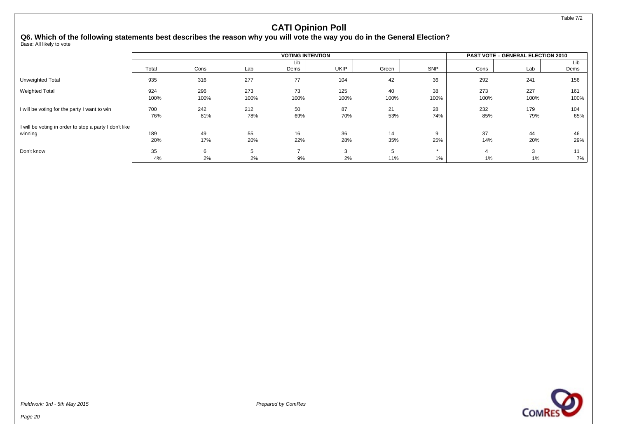### **Q6. Which of the following statements best describes the reason why you will vote the way you do in the General Election?** Base: All likely to vote

**VOTING INTENTION PAST VOTE – GENERAL ELECTION 2010** Total Cons Lab Lib<br>Dems Dems | UKIP | Green | SNP | Cons | Lab Lib Dems Unweighted Total | 935 | 316 277 77 104 42 36 | 292 241 156 Weighted Total | 924 | 296 273 73 125 40 38 | 273 227 161 100% 100% 100% 100% 100% 100% 100% 100% 100% 100% I will be voting for the party I want to win 700 242 21 87 21 28 232 179 104 76% 81% 78% 69% 70% 53% 74% 85% 79% 65% I will be voting in order to stop a party I don't like winning | 189 | 49 55 16 36 14 9 | 37 44 46 20% 17% 20% 22% 28% 35% 25% 14% 20% 29% Don't know | 35 | 6 5 7 3 5 \* | 4 3 11 4% 2% 2% 9% 2% 11% 1% 1% 1% 7%

Fieldwork: 3rd - 5th May 2015 **Prepared by ComPessition** Prepared by ComPessition Prepared by ComPessition Prepared by ComPessition Prepared by ComPessition Prepared by ComPessition Prepared by ComPessition Prepared by Com

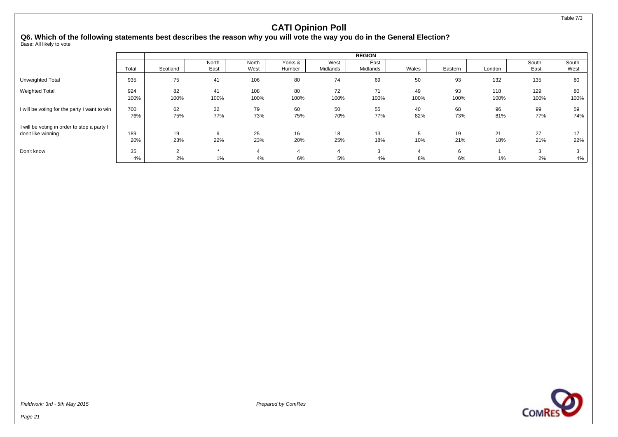### **Q6. Which of the following statements best describes the reason why you will vote the way you do in the General Election?**

Base: All likely to vote

|                                              |       |          |       |       |         |          | <b>REGION</b> |       |         |        |       |       |
|----------------------------------------------|-------|----------|-------|-------|---------|----------|---------------|-------|---------|--------|-------|-------|
|                                              |       |          | North | North | Yorks & | West     | East          |       |         |        | South | South |
|                                              | Total | Scotland | East  | West  | Humber  | Midlands | Midlands      | Wales | Eastern | London | East  | West  |
| <b>Unweighted Total</b>                      | 935   | 75       | 41    | 106   | 80      | 74       | 69            | 50    | 93      | 132    | 135   | 80    |
| <b>Weighted Total</b>                        | 924   | 82       | 41    | 108   | 80      | 72       | 71            | 49    | 93      | 118    | 129   | 80    |
|                                              | 100%  | 100%     | 100%  | 100%  | 100%    | 100%     | 100%          | 100%  | 100%    | 100%   | 100%  | 100%  |
| I will be voting for the party I want to win | 700   | 62       | 32    | 79    | 60      | 50       | 55            | 40    | 68      | 96     | 99    | 59    |
|                                              | 76%   | 75%      | 77%   | 73%   | 75%     | 70%      | 77%           | 82%   | 73%     | 81%    | 77%   | 74%   |
| I will be voting in order to stop a party I  |       |          |       |       |         |          |               |       |         |        |       |       |
| don't like winning                           | 189   | 19       | 9     | 25    | 16      | 18       | 13            | 5     | 19      | 21     | 27    | 17    |
|                                              | 20%   | 23%      | 22%   | 23%   | 20%     | 25%      | 18%           | 10%   | 21%     | 18%    | 21%   | 22%   |
| Don't know                                   | 35    | $\sim$   |       |       |         |          | 3             | 4     | 6       |        | 3     |       |
|                                              | 4%    | 2%       | $1\%$ | 4%    | 6%      | 5%       | 4%            | 8%    | 6%      | 1%     | 2%    | 4%    |

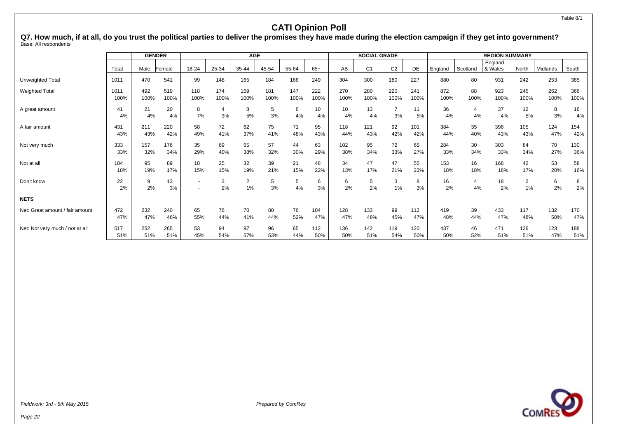#### Table 8/1

### **CATI Opinion Poll**

**Q7. How much, if at all, do you trust the political parties to deliver the promises they have made during the election campaign if they get into government?** Base: All respondents

|                                 |          | <b>GENDER</b> |          |         |         | <b>AGE</b>              |         |         |          |          | <b>SOCIAL GRADE</b> |                |          |          |                      | <b>REGION SUMMARY</b> |                      |          |            |
|---------------------------------|----------|---------------|----------|---------|---------|-------------------------|---------|---------|----------|----------|---------------------|----------------|----------|----------|----------------------|-----------------------|----------------------|----------|------------|
|                                 | Total    | Male          | Female   | 18-24   | 25-34   | 35-44                   | 45-54   | 55-64   | $65+$    | AB       | C <sub>1</sub>      | C <sub>2</sub> | DE       | England  | Scotland             | England<br>& Wales    | North                | Midlands | South      |
| Unweighted Total                | 1011     | 470           | 541      | 99      | 148     | 165                     | 184     | 166     | 249      | 304      | 300                 | 180            | 227      | 880      | 80                   | 931                   | 242                  | 253      | 385        |
| <b>Weighted Total</b>           | 1011     | 492           | 519      | 118     | 174     | 169                     | 181     | 147     | 222      | 270      | 280                 | 220            | 241      | 872      | 88                   | 923                   | 245                  | 262      | 366        |
|                                 | 100%     | 100%          | 100%     | 100%    | 100%    | 100%                    | 100%    | 100%    | 100%     | 100%     | 100%                | 100%           | 100%     | 100%     | 100%                 | 100%                  | 100%                 | 100%     | 100%       |
| A great amount                  | 41<br>4% | 21<br>4%      | 20<br>4% | 8<br>7% | 4<br>3% | 8<br>5%                 | 5<br>3% | 6<br>4% | 10<br>4% | 10<br>4% | 13<br>4%            | 3%             | 11<br>5% | 36<br>4% | $\overline{4}$<br>4% | 37<br>4%              | 12<br>5%             | 8<br>3%  | 16<br>4%   |
| A fair amount                   | 431      | 211           | 220      | 58      | 72      | 62                      | 75      | 71      | 95       | 118      | 121                 | 92             | 101      | 384      | 35                   | 396                   | 105                  | 124      | 154        |
|                                 | 43%      | 43%           | 42%      | 49%     | 41%     | 37%                     | 41%     | 48%     | 43%      | 44%      | 43%                 | 42%            | 42%      | 44%      | 40%                  | 43%                   | 43%                  | 47%      | 42%        |
| Not very much                   | 333      | 157           | 176      | 35      | 69      | 65                      | 57      | 44      | 63       | 102      | 95                  | 72             | 65       | 284      | 30                   | 303                   | 84                   | 70       | 130        |
|                                 | 33%      | 32%           | 34%      | 29%     | 40%     | 38%                     | 32%     | 30%     | 29%      | 38%      | 34%                 | 33%            | 27%      | 33%      | 34%                  | 33%                   | 34%                  | 27%      | 36%        |
| Not at all                      | 184      | 95            | 89       | 18      | 25      | 32                      | 39      | 21      | 48       | 34       | 47                  | 47             | 55       | 153      | 16                   | 168                   | 42                   | 53       | 58         |
|                                 | 18%      | 19%           | 17%      | 15%     | 15%     | 19%                     | 21%     | 15%     | 22%      | 13%      | 17%                 | 21%            | 23%      | 18%      | 18%                  | 18%                   | 17%                  | 20%      | 16%        |
| Don't know                      | 22<br>2% | 9<br>2%       | 13<br>3% |         | 3<br>2% | $\overline{2}$<br>$1\%$ | 5<br>3% | 5<br>4% | 6<br>3%  | 6<br>2%  | 5<br>2%             | 3<br>1%        | 8<br>3%  | 16<br>2% | 4<br>4%              | 18<br>2%              | $\overline{2}$<br>1% | 6<br>2%  | 8<br>$2\%$ |
| <b>NETS</b>                     |          |               |          |         |         |                         |         |         |          |          |                     |                |          |          |                      |                       |                      |          |            |
| Net: Great amount / fair amount | 472      | 232           | 240      | 65      | 76      | 70                      | 80      | 76      | 104      | 128      | 133                 | 99             | 112      | 419      | 39                   | 433                   | 117                  | 132      | 170        |
|                                 | 47%      | 47%           | 46%      | 55%     | 44%     | 41%                     | 44%     | 52%     | 47%      | 47%      | 48%                 | 45%            | 47%      | 48%      | 44%                  | 47%                   | 48%                  | 50%      | 47%        |
| Net: Not very much / not at all | 517      | 252           | 265      | 53      | 94      | 97                      | 96      | 65      | 112      | 136      | 142                 | 119            | 120      | 437      | 46                   | 471                   | 126                  | 123      | 188        |
|                                 | 51%      | 51%           | 51%      | 45%     | 54%     | 57%                     | 53%     | 44%     | 50%      | 50%      | 51%                 | 54%            | 50%      | 50%      | 52%                  | 51%                   | 51%                  | 47%      | 51%        |

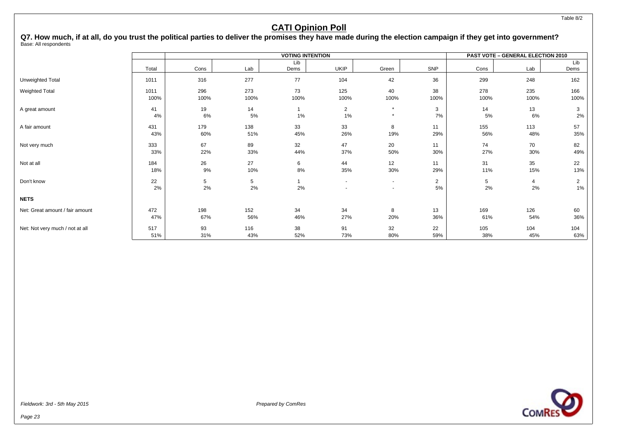Table 8/2

### **CATI Opinion Poll**

**Q7. How much, if at all, do you trust the political parties to deliver the promises they have made during the election campaign if they get into government?** Base: All respondents

|                                 |              |                       |             | <b>VOTING INTENTION</b> |                      |                          |                      |             | PAST VOTE - GENERAL ELECTION 2010 |                      |
|---------------------------------|--------------|-----------------------|-------------|-------------------------|----------------------|--------------------------|----------------------|-------------|-----------------------------------|----------------------|
|                                 |              |                       |             | Lib                     |                      |                          |                      |             |                                   | Lib                  |
|                                 | Total        | Cons                  | Lab         | Dems                    | <b>UKIP</b>          | Green                    | SNP                  | Cons        | Lab                               | Dems                 |
| Unweighted Total                | 1011         | 316                   | 277         | 77                      | 104                  | 42                       | 36                   | 299         | 248                               | 162                  |
| Weighted Total                  | 1011<br>100% | 296<br>100%           | 273<br>100% | 73<br>100%              | 125<br>100%          | 40<br>100%               | 38<br>100%           | 278<br>100% | 235<br>100%                       | 166<br>100%          |
| A great amount                  | 41<br>4%     | 19<br>6%              | 14<br>5%    | 1%                      | $\overline{2}$<br>1% | $\star$                  | 3<br>7%              | 14<br>5%    | 13<br>6%                          | 3<br>2%              |
| A fair amount                   | 431<br>43%   | 179<br>60%            | 138<br>51%  | 33<br>45%               | 33<br>26%            | 8<br>19%                 | 11<br>29%            | 155<br>56%  | 113<br>48%                        | 57<br>35%            |
| Not very much                   | 333<br>33%   | 67<br>22%             | 89<br>33%   | 32<br>44%               | 47<br>37%            | 20<br>50%                | 11<br>30%            | 74<br>27%   | 70<br>30%                         | 82<br>49%            |
| Not at all                      | 184<br>18%   | 26<br>9%              | 27<br>10%   | 6<br>8%                 | 44<br>35%            | 12<br>30%                | 11<br>29%            | 31<br>11%   | 35<br>15%                         | 22<br>13%            |
| Don't know                      | 22<br>2%     | $5\phantom{.0}$<br>2% | 5<br>2%     | 2%                      | $\blacksquare$       | $\sim$<br>$\overline{a}$ | $\overline{2}$<br>5% | 5<br>2%     | 4<br>2%                           | $\overline{2}$<br>1% |
| <b>NETS</b>                     |              |                       |             |                         |                      |                          |                      |             |                                   |                      |
| Net: Great amount / fair amount | 472<br>47%   | 198<br>67%            | 152<br>56%  | 34<br>46%               | 34<br>27%            | 8<br>20%                 | 13<br>36%            | 169<br>61%  | 126<br>54%                        | 60<br>36%            |
| Net: Not very much / not at all | 517<br>51%   | 93<br>31%             | 116<br>43%  | 38<br>52%               | 91<br>73%            | 32<br>80%                | 22<br>59%            | 105<br>38%  | 104<br>45%                        | 104<br>63%           |

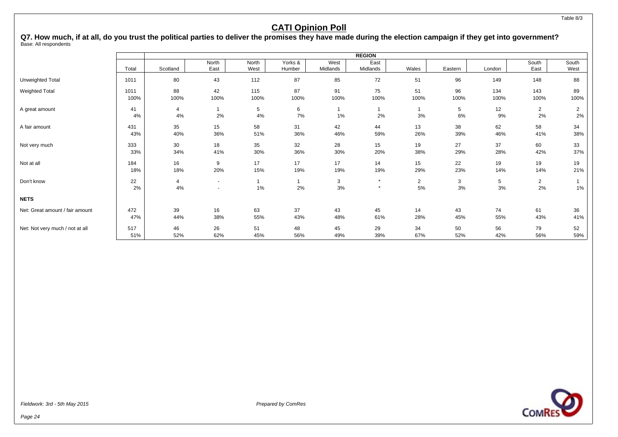**Q7. How much, if at all, do you trust the political parties to deliver the promises they have made during the election campaign if they get into government?** Base: All respondents

|                                 |       |                |                          |       |         |          | <b>REGION</b> |                |         |        |                |              |
|---------------------------------|-------|----------------|--------------------------|-------|---------|----------|---------------|----------------|---------|--------|----------------|--------------|
|                                 |       |                | North                    | North | Yorks & | West     | East          |                |         |        | South          | South        |
|                                 | Total | Scotland       | East                     | West  | Humber  | Midlands | Midlands      | Wales          | Eastern | London | East           | West         |
| Unweighted Total                | 1011  | 80             | 43                       | 112   | 87      | 85       | 72            | 51             | 96      | 149    | 148            | 88           |
| <b>Weighted Total</b>           | 1011  | 88             | 42                       | 115   | 87      | 91       | 75            | 51             | 96      | 134    | 143            | 89           |
|                                 | 100%  | 100%           | 100%                     | 100%  | 100%    | 100%     | 100%          | 100%           | 100%    | 100%   | 100%           | 100%         |
| A great amount                  | 41    | 4              |                          | 5     | 6       |          |               |                | 5       | 12     | $\overline{2}$ | 2            |
|                                 | 4%    | 4%             | 2%                       | 4%    | 7%      | 1%       | 2%            | 3%             | 6%      | 9%     | 2%             | 2%           |
| A fair amount                   | 431   | 35             | 15                       | 58    | 31      | 42       | 44            | 13             | 38      | 62     | 58             | 34           |
|                                 | 43%   | 40%            | 36%                      | 51%   | 36%     | 46%      | 59%           | 26%            | 39%     | 46%    | 41%            | 38%          |
| Not very much                   | 333   | 30             | 18                       | 35    | 32      | 28       | 15            | 19             | 27      | 37     | 60             | 33           |
|                                 | 33%   | 34%            | 41%                      | 30%   | 36%     | 30%      | 20%           | 38%            | 29%     | 28%    | 42%            | 37%          |
| Not at all                      | 184   | 16             | 9                        | 17    | 17      | 17       | 14            | 15             | 22      | 19     | 19             | 19           |
|                                 | 18%   | 18%            | 20%                      | 15%   | 19%     | 19%      | 19%           | 29%            | 23%     | 14%    | 14%            | 21%          |
| Don't know                      | 22    | $\overline{4}$ | $\overline{\phantom{a}}$ |       |         | 3        | $\star$       | $\overline{2}$ | 3       | 5      | $\overline{2}$ | $\mathbf{1}$ |
|                                 | 2%    | 4%             | $\overline{\phantom{a}}$ | 1%    | 2%      | 3%       | $\star$       | 5%             | 3%      | 3%     | 2%             | 1%           |
| <b>NETS</b>                     |       |                |                          |       |         |          |               |                |         |        |                |              |
| Net: Great amount / fair amount | 472   | 39             | 16                       | 63    | 37      | 43       | 45            | 14             | 43      | 74     | 61             | 36           |
|                                 | 47%   | 44%            | 38%                      | 55%   | 43%     | 48%      | 61%           | 28%            | 45%     | 55%    | 43%            | 41%          |
| Net: Not very much / not at all | 517   | 46             | 26                       | 51    | 48      | 45       | 29            | 34             | 50      | 56     | 79             | 52           |
|                                 | 51%   | 52%            | 62%                      | 45%   | 56%     | 49%      | 39%           | 67%            | 52%     | 42%    | 56%            | 59%          |

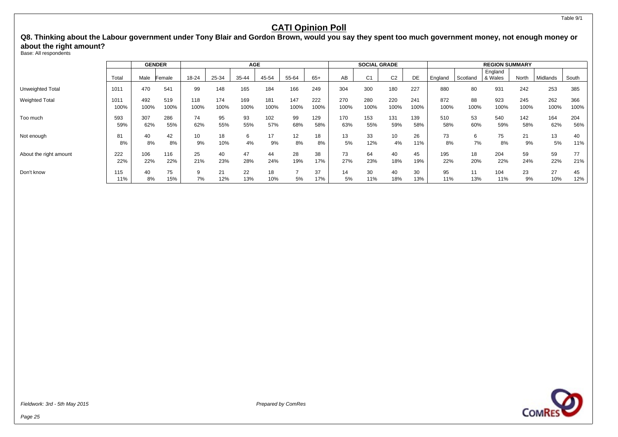**Q8. Thinking about the Labour government under Tony Blair and Gordon Brown, would you say they spent too much government money, not enough money or about the right amount?**

Base: All respondents

|                         |            |          | <b>GENDER</b> |         |           | <b>AGE</b> |           |       |           |          | <b>SOCIAL GRADE</b> |                |           | <b>REGION SUMMARY</b> |           |                    |          |           |           |
|-------------------------|------------|----------|---------------|---------|-----------|------------|-----------|-------|-----------|----------|---------------------|----------------|-----------|-----------------------|-----------|--------------------|----------|-----------|-----------|
|                         | Tota       | Male     | Female        | 18-24   | 25-34     | 35-44      | 45-54     | 55-64 | $65+$     | AВ       | C <sub>1</sub>      | C <sub>2</sub> | DE        | England               | Scotland  | England<br>& Wales | North    | Midlands  | South     |
| <b>Unweighted Total</b> | 1011       | 470      | 541           | 99      | 148       | 165        | 184       | 166   | 249       | 304      | 300                 | 180            | 227       | 880                   | 80        | 931                | 242      | 253       | 385       |
| <b>Weighted Total</b>   | 1011       | 492      | 519           | 118     | 174       | 169        | 181       | 147   | 222       | 270      | 280                 | 220            | 241       | 872                   | 88        | 923                | 245      | 262       | 366       |
|                         | 100%       | 100%     | 100%          | 100%    | 100%      | 100%       | 100%      | 100%  | 100%      | 100%     | 100%                | 100%           | 100%      | 100%                  | 100%      | 100%               | 100%     | 100%      | 100%      |
| Too much                | 593        | 307      | 286           | 74      | 95        | 93         | 102       | 99    | 129       | 170      | 153                 | 131            | 139       | 510                   | 53        | 540                | 142      | 164       | 204       |
|                         | 59%        | 62%      | 55%           | 62%     | 55%       | 55%        | 57%       | 68%   | 58%       | 63%      | 55%                 | 59%            | 58%       | 58%                   | 60%       | 59%                | 58%      | 62%       | 56%       |
| Not enough              | 81         | 40       | 42            | 10      | 18        | 6          | 17        | 12    | 18        | 13       | 33                  | 10             | 26        | 73                    | 6         | 75                 | 21       | 13        | 40        |
|                         | 8%         | 8%       | 8%            | 9%      | 10%       | 4%         | 9%        | 8%    | 8%        | 5%       | 12%                 | 4%             | 11%       | 8%                    | 7%        | 8%                 | 9%       | 5%        | 11%       |
| About the right amount  | 222        | 106      | 116           | 25      | 40        | 47         | 44        | 28    | 38        | 73       | 64                  | 40             | 45        | 195                   | 18        | 204                | 59       | 59        | 77        |
|                         | 22%        | 22%      | 22%           | 21%     | 23%       | 28%        | 24%       | 19%   | 17%       | 27%      | 23%                 | 18%            | 19%       | 22%                   | 20%       | 22%                | 24%      | 22%       | 21%       |
| Don't know              | 115<br>11% | 40<br>8% | 75<br>15%     | 9<br>7% | 21<br>12% | 22<br>13%  | 18<br>10% | 5%    | 37<br>17% | 14<br>5% | 30<br>11%           | 40<br>18%      | 30<br>13% | 95<br>11%             | 11<br>13% | 104<br>11%         | 23<br>9% | 27<br>10% | 45<br>12% |

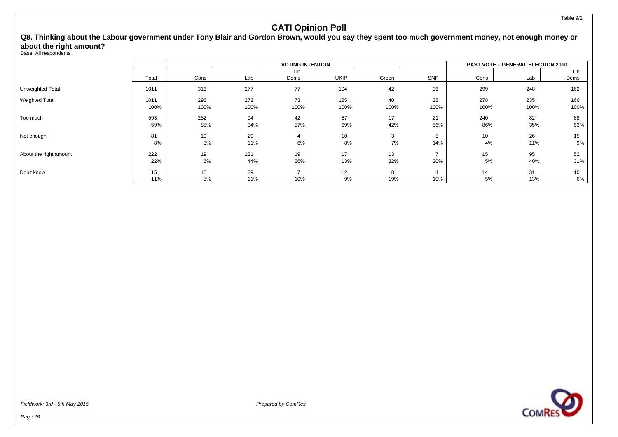**Q8. Thinking about the Labour government under Tony Blair and Gordon Brown, would you say they spent too much government money, not enough money or about the right amount?**

Base: All respondents

|                         |       | <b>VOTING INTENTION</b> |      |      |             |       |            |                 | <b>PAST VOTE - GENERAL ELECTION 2010</b> |      |  |  |
|-------------------------|-------|-------------------------|------|------|-------------|-------|------------|-----------------|------------------------------------------|------|--|--|
|                         |       |                         |      | Lib  |             |       |            |                 |                                          | Lib  |  |  |
|                         | Total | Cons                    | Lab  | Dems | <b>UKIP</b> | Green | <b>SNP</b> | Cons            | Lab                                      | Dems |  |  |
| <b>Unweighted Total</b> | 1011  | 316                     | 277  | 77   | 104         | 42    | 36         | 299             | 248                                      | 162  |  |  |
| <b>Weighted Total</b>   | 1011  | 296                     | 273  | 73   | 125         | 40    | 38         | 278             | 235                                      | 166  |  |  |
|                         | 100%  | 100%                    | 100% | 100% | 100%        | 100%  | 100%       | 100%            | 100%                                     | 100% |  |  |
| Too much                | 593   | 252                     | 94   | 42   | 87          | 17    | 21         | 240             | 82                                       | 88   |  |  |
|                         | 59%   | 85%                     | 34%  | 57%  | 69%         | 42%   | 56%        | 86%             | 35%                                      | 53%  |  |  |
| Not enough              | 81    | 10                      | 29   |      | 10          | 3     | 5          | 10 <sup>1</sup> | 26                                       | 15   |  |  |
|                         | 8%    | 3%                      | 11%  | 6%   | 8%          | 7%    | 14%        | 4%              | 11%                                      | 9%   |  |  |
| About the right amount  | 222   | 19                      | 121  | 19   | 17          | 13    |            | 15              | 95                                       | 52   |  |  |
|                         | 22%   | 6%                      | 44%  | 26%  | 13%         | 32%   | 20%        | 5%              | 40%                                      | 31%  |  |  |
| Don't know              | 115   | 16                      | 29   |      | 12          | 8     | 4          | 14              | 31                                       | 10   |  |  |
|                         | 11%   | 5%                      | 11%  | 10%  | 9%          | 19%   | 10%        | 5%              | 13%                                      | 6%   |  |  |

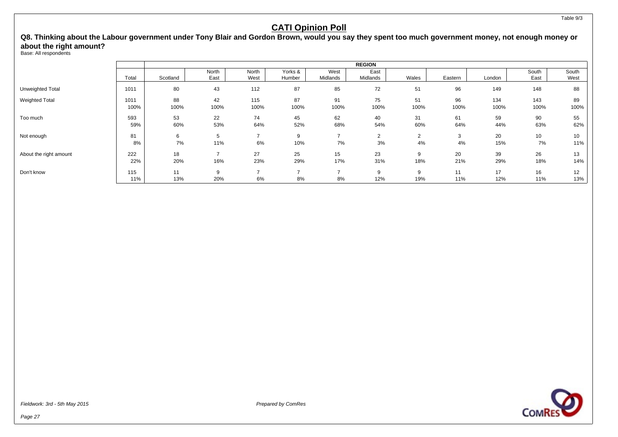**Q8. Thinking about the Labour government under Tony Blair and Gordon Brown, would you say they spent too much government money, not enough money or about the right amount?**

Base: All respondents

|                         |       |          | <b>REGION</b> |       |         |          |          |                |         |        |       |       |  |
|-------------------------|-------|----------|---------------|-------|---------|----------|----------|----------------|---------|--------|-------|-------|--|
|                         |       |          | North         | North | Yorks & | West     | East     |                |         |        | South | South |  |
|                         | Total | Scotland | East          | West  | Humber  | Midlands | Midlands | Wales          | Eastern | London | East  | West  |  |
| <b>Unweighted Total</b> | 1011  | 80       | 43            | 112   | 87      | 85       | 72       | 51             | 96      | 149    | 148   | 88    |  |
| <b>Weighted Total</b>   | 1011  | 88       | 42            | 115   | 87      | 91       | 75       | 51             | 96      | 134    | 143   | 89    |  |
|                         | 100%  | 100%     | 100%          | 100%  | 100%    | 100%     | 100%     | 100%           | 100%    | 100%   | 100%  | 100%  |  |
| Too much                | 593   | 53       | 22            | 74    | 45      | 62       | 40       | 31             | 61      | 59     | 90    | 55    |  |
|                         | 59%   | 60%      | 53%           | 64%   | 52%     | 68%      | 54%      | 60%            | 64%     | 44%    | 63%   | 62%   |  |
| Not enough              | 81    | 6        | 5             | ⇁     | 9       |          | 2        | $\overline{2}$ | 3       | 20     | 10    | 10    |  |
|                         | 8%    | 7%       | 11%           | 6%    | 10%     | 7%       | 3%       | 4%             | 4%      | 15%    | 7%    | 11%   |  |
| About the right amount  | 222   | 18       | -             | 27    | 25      | 15       | 23       | 9              | 20      | 39     | 26    | 13    |  |
|                         | 22%   | 20%      | 16%           | 23%   | 29%     | 17%      | 31%      | 18%            | 21%     | 29%    | 18%   | 14%   |  |
| Don't know              | 115   | 11       | 9             | –     | ⇁       |          | 9        | 9              | 11      | 17     | 16    | 12    |  |
|                         | 11%   | 13%      | 20%           | 6%    | 8%      | 8%       | 12%      | 19%            | 11%     | 12%    | 11%   | 13%   |  |





Table 9/3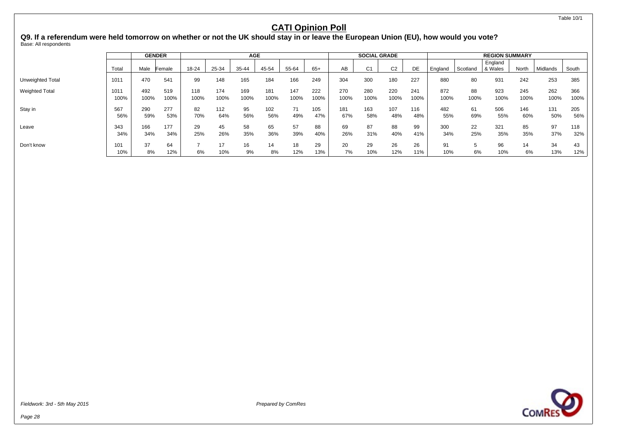Table 10/1

### **CATI Opinion Poll**

**Q9. If a referendum were held tomorrow on whether or not the UK should stay in or leave the European Union (EU), how would you vote?** Base: All respondents

|                       |              |             | <b>GENDER</b> |             |             | <b>AGE</b>  |             |             |             | <b>SOCIAL GRADE</b> |             |                |             | <b>REGION SUMMARY</b> |            |                    |             |             |             |
|-----------------------|--------------|-------------|---------------|-------------|-------------|-------------|-------------|-------------|-------------|---------------------|-------------|----------------|-------------|-----------------------|------------|--------------------|-------------|-------------|-------------|
|                       | Tota         | Male        | Female        | 18-24       | 25-34       | 35-44       | 45-54       | 55-64       | $65+$       | AВ                  | C1          | C <sub>2</sub> | DE          | England               | Scotland   | England<br>& Wales | North       | Midlands    | South       |
| Unweighted Total      | 1011         | 470         | 541           | 99          | 148         | 165         | 184         | 166         | 249         | 304                 | 300         | 180            | 227         | 880                   | 80         | 931                | 242         | 253         | 385         |
| <b>Weighted Total</b> | 1011<br>100% | 492<br>100% | 519<br>100%   | 118<br>100% | 174<br>100% | 169<br>100% | 181<br>100% | 147<br>100% | 222<br>100% | 270<br>100%         | 280<br>100% | 220<br>100%    | 241<br>100% | 872<br>100%           | 88<br>100% | 923<br>100%        | 245<br>100% | 262<br>100% | 366<br>100% |
| Stay in               | 567<br>56%   | 290<br>59%  | 277<br>53%    | 82<br>70%   | 112<br>64%  | 95<br>56%   | 102<br>56%  | 71<br>49%   | 105<br>47%  | 181<br>67%          | 163<br>58%  | 107<br>48%     | 116<br>48%  | 482<br>55%            | 61<br>69%  | 506<br>55%         | 146<br>60%  | 131<br>50%  | 205<br>56%  |
| Leave                 | 343<br>34%   | 166<br>34%  | 177<br>34%    | 29<br>25%   | 45<br>26%   | 58<br>35%   | 65<br>36%   | 57<br>39%   | 88<br>40%   | 69<br>26%           | 87<br>31%   | 88<br>40%      | 99<br>41%   | 300<br>34%            | 22<br>25%  | 321<br>35%         | 85<br>35%   | 97<br>37%   | 118<br>32%  |
| Don't know            | 101<br>10%   | 37<br>8%    | 64<br>12%     | 6%          | 10%         | 16<br>9%    | 14<br>8%    | 18<br>12%   | 29<br>13%   | 20<br>7%            | 29<br>10%   | 26<br>12%      | 26<br>11%   | 91<br>10%             | 6%         | 96<br>10%          | 14<br>6%    | 34<br>13%   | 43<br>12%   |

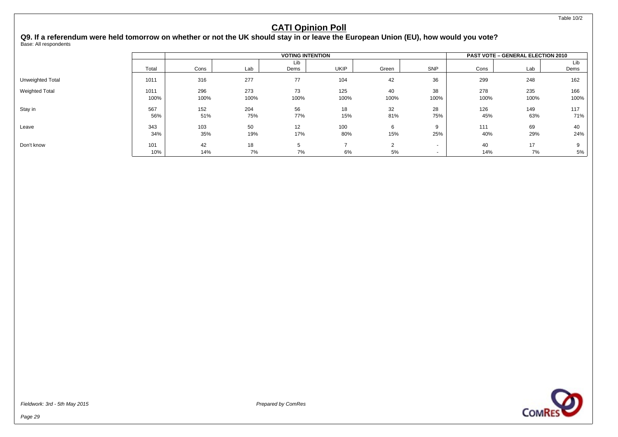**Q9. If a referendum were held tomorrow on whether or not the UK should stay in or leave the European Union (EU), how would you vote?** Base: All respondents

|                       |       |      |      | <b>PAST VOTE - GENERAL ELECTION 2010</b> |             |                |        |      |      |      |
|-----------------------|-------|------|------|------------------------------------------|-------------|----------------|--------|------|------|------|
|                       |       |      |      | Lib                                      |             |                |        |      |      | Lib  |
|                       | Total | Cons | Lab  | Dems                                     | <b>UKIP</b> | Green          | SNP    | Cons | Lab  | Dems |
| Unweighted Total      | 1011  | 316  | 277  | 77                                       | 104         | 42             | 36     | 299  | 248  | 162  |
| <b>Weighted Total</b> | 1011  | 296  | 273  | 73                                       | 125         | 40             | 38     | 278  | 235  | 166  |
|                       | 100%  | 100% | 100% | 100%                                     | 100%        | 100%           | 100%   | 100% | 100% | 100% |
| Stay in               | 567   | 152  | 204  | 56                                       | 18          | 32             | 28     | 126  | 149  | 117  |
|                       | 56%   | 51%  | 75%  | 77%                                      | 15%         | 81%            | 75%    | 45%  | 63%  | 71%  |
| Leave                 | 343   | 103  | 50   | 12                                       | 100         | 6              |        | 111  | 69   | 40   |
|                       | 34%   | 35%  | 19%  | 17%                                      | 80%         | 15%            | 25%    | 40%  | 29%  | 24%  |
| Don't know            | 101   | 42   | 18   | 5.                                       |             | $\overline{2}$ |        | 40   | 17   |      |
|                       | 10%   | 14%  | 7%   | 7%                                       | 6%          | 5%             | $\sim$ | 14%  | 7%   | 5%   |

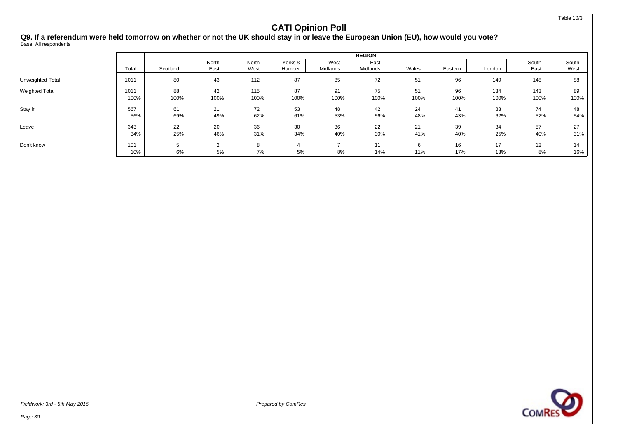#### **Q9. If a referendum were held tomorrow on whether or not the UK should stay in or leave the European Union (EU), how would you vote?** Base: All respondents

|                         |       |          |               |               |                   |                  | <b>REGION</b>    |       |         |        |               |               |
|-------------------------|-------|----------|---------------|---------------|-------------------|------------------|------------------|-------|---------|--------|---------------|---------------|
|                         | Total | Scotland | North<br>East | North<br>West | Yorks &<br>Humber | West<br>Midlands | East<br>Midlands | Wales | Eastern | London | South<br>East | South<br>West |
|                         |       |          |               |               |                   |                  |                  |       |         |        |               |               |
| <b>Unweighted Total</b> | 1011  | 80       | 43            | 112           | 87                | 85               | 72               | 51    | 96      | 149    | 148           | 88            |
| <b>Weighted Total</b>   | 1011  | 88       | 42            | 115           | 87                | 91               | 75               | 51    | 96      | 134    | 143           | 89            |
|                         | 100%  | 100%     | 100%          | 100%          | 100%              | 100%             | 100%             | 100%  | 100%    | 100%   | 100%          | 100%          |
| Stay in                 | 567   | 61       | 21            | 72            | 53                | 48               | 42               | 24    | 41      | 83     | 74            | 48            |
|                         | 56%   | 69%      | 49%           | 62%           | 61%               | 53%              | 56%              | 48%   | 43%     | 62%    | 52%           | 54%           |
| Leave                   | 343   | 22       | 20            | 36            | 30                | 36               | 22               | 21    | 39      | 34     | 57            | 27            |
|                         | 34%   | 25%      | 46%           | 31%           | 34%               | 40%              | 30%              | 41%   | 40%     | 25%    | 40%           | 31%           |
| Don't know              | 101   | 5        | 2             | 8             |                   |                  | 11               | 6     | 16      | 17     | 12            | 14            |
|                         | 10%   | 6%       | 5%            | 7%            | 5%                | 8%               | 14%              | 11%   | 17%     | 13%    | 8%            | 16%           |